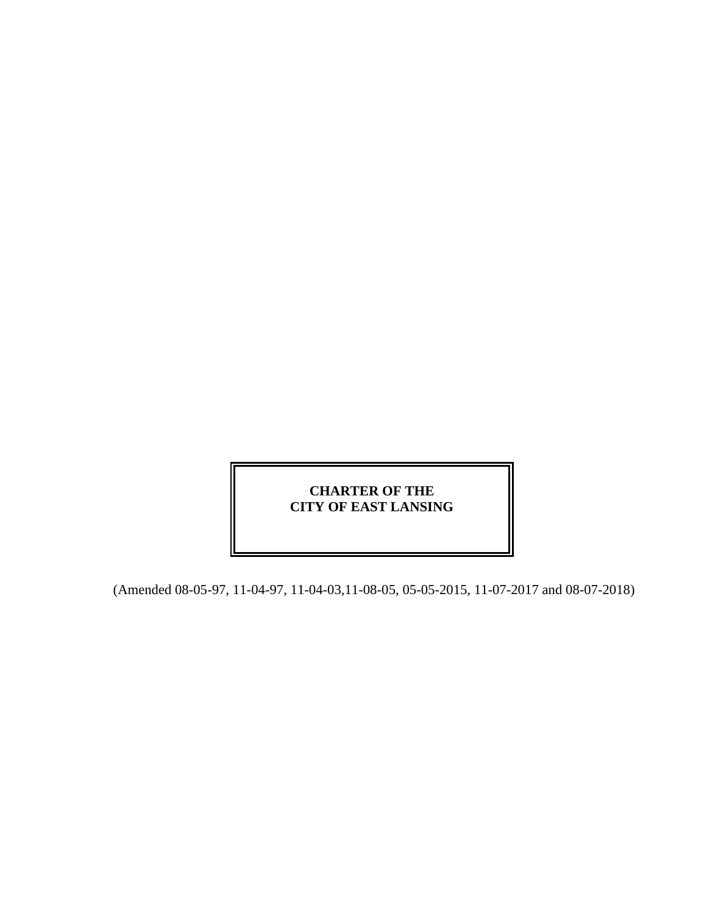# **CHARTER OF THE CITY OF EAST LANSING**

(Amended 08-05-97, 11-04-97, 11-04-03,11-08-05, 05-05-2015, 11-07-2017 and 08-07-2018)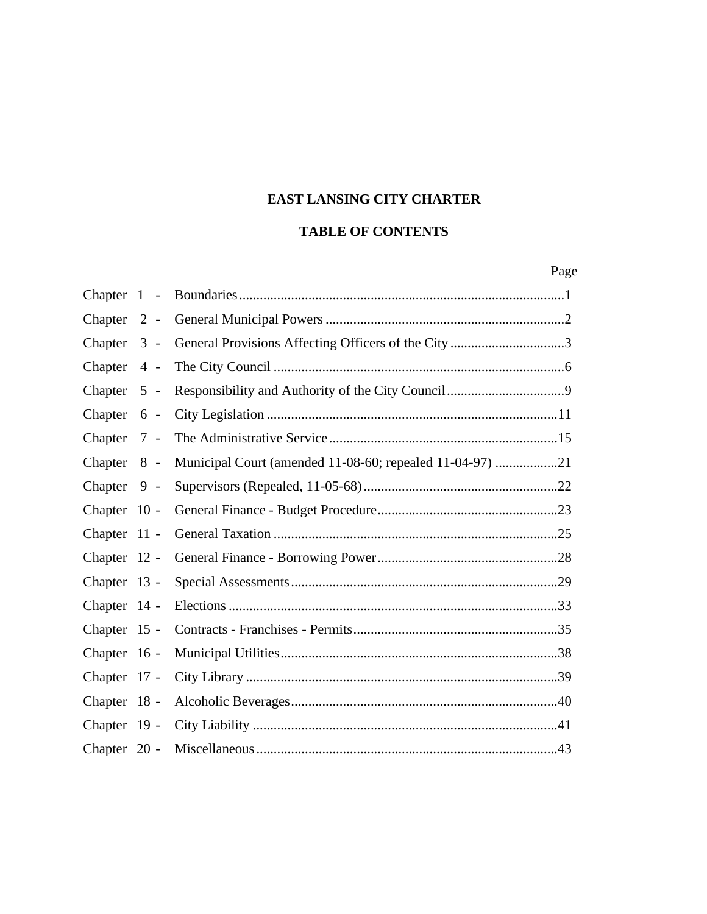# **EAST LANSING CITY CHARTER**

# **TABLE OF CONTENTS**

|                | Page                                                     |  |
|----------------|----------------------------------------------------------|--|
| Chapter $1 -$  |                                                          |  |
| Chapter 2 -    |                                                          |  |
| Chapter $3 -$  | General Provisions Affecting Officers of the City3       |  |
| Chapter 4 -    |                                                          |  |
| Chapter $5 -$  |                                                          |  |
| Chapter 6 -    |                                                          |  |
| Chapter 7 -    |                                                          |  |
| Chapter 8 -    | Municipal Court (amended 11-08-60; repealed 11-04-97) 21 |  |
| Chapter 9 -    |                                                          |  |
| Chapter 10 -   |                                                          |  |
| Chapter 11 -   |                                                          |  |
| Chapter 12 -   |                                                          |  |
| Chapter 13 -   |                                                          |  |
| Chapter 14 -   |                                                          |  |
| Chapter 15 -   |                                                          |  |
| Chapter 16 -   |                                                          |  |
| Chapter 17 -   |                                                          |  |
| Chapter 18 -   |                                                          |  |
| Chapter 19 -   |                                                          |  |
| Chapter $20 -$ |                                                          |  |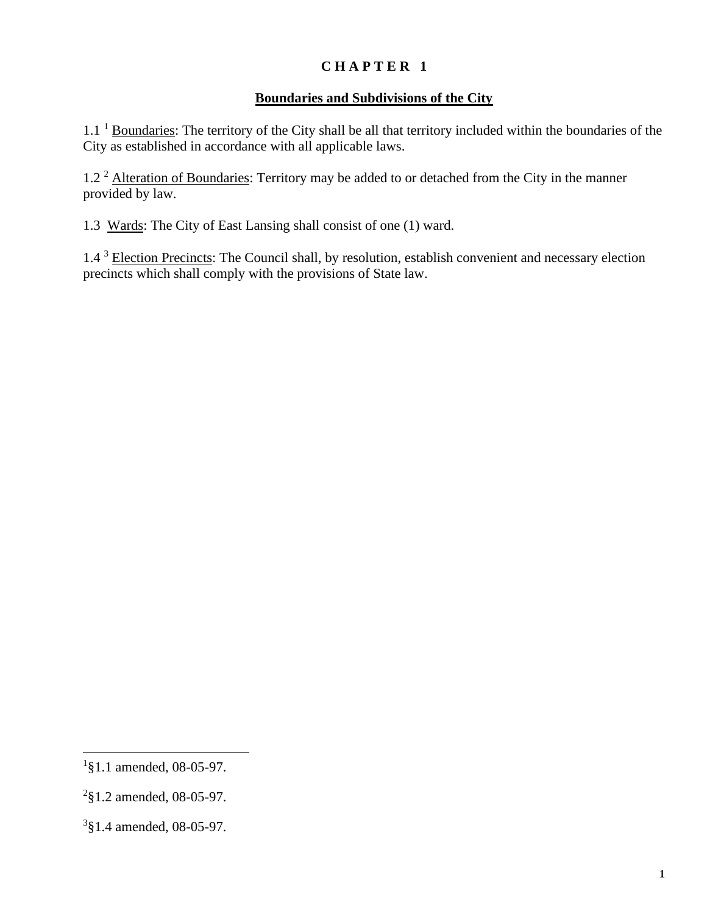#### **Boundaries and Subdivisions of the City**

1.1<sup>1</sup> Boundaries: The territory of the City shall be all that territory included within the boundaries of the City as established in accordance with all applicable laws.

1.2<sup>2</sup> Alteration of Boundaries: Territory may be added to or detached from the City in the manner provided by law.

1.3 Wards: The City of East Lansing shall consist of one (1) ward.

1.4<sup>3</sup> Election Precincts: The Council shall, by resolution, establish convenient and necessary election precincts which shall comply with the provisions of State law.

<sup>&</sup>lt;sup>1</sup>§1.1 amended, 08-05-97.

 $2$ §1.2 amended, 08-05-97.

<sup>3</sup> §1.4 amended, 08-05-97.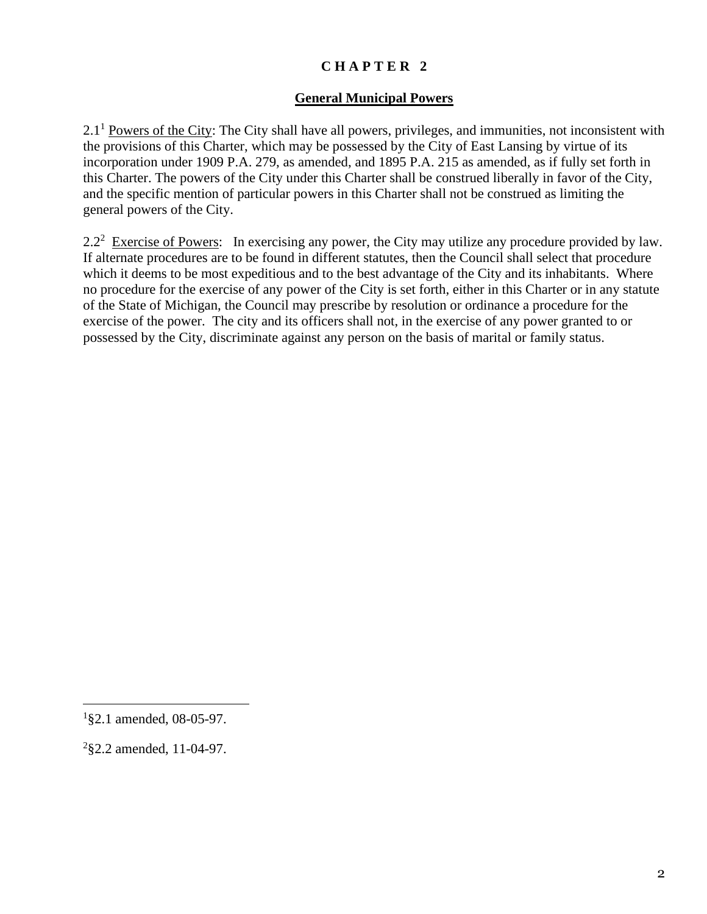#### **General Municipal Powers**

 $2.1<sup>1</sup>$  Powers of the City: The City shall have all powers, privileges, and immunities, not inconsistent with the provisions of this Charter, which may be possessed by the City of East Lansing by virtue of its incorporation under 1909 P.A. 279, as amended, and 1895 P.A. 215 as amended, as if fully set forth in this Charter. The powers of the City under this Charter shall be construed liberally in favor of the City, and the specific mention of particular powers in this Charter shall not be construed as limiting the general powers of the City.

2.2<sup>2</sup> Exercise of Powers: In exercising any power, the City may utilize any procedure provided by law. If alternate procedures are to be found in different statutes, then the Council shall select that procedure which it deems to be most expeditious and to the best advantage of the City and its inhabitants. Where no procedure for the exercise of any power of the City is set forth, either in this Charter or in any statute of the State of Michigan, the Council may prescribe by resolution or ordinance a procedure for the exercise of the power. The city and its officers shall not, in the exercise of any power granted to or possessed by the City, discriminate against any person on the basis of marital or family status.

 $1$ §2.1 amended, 08-05-97.

 $2$ §2.2 amended, 11-04-97.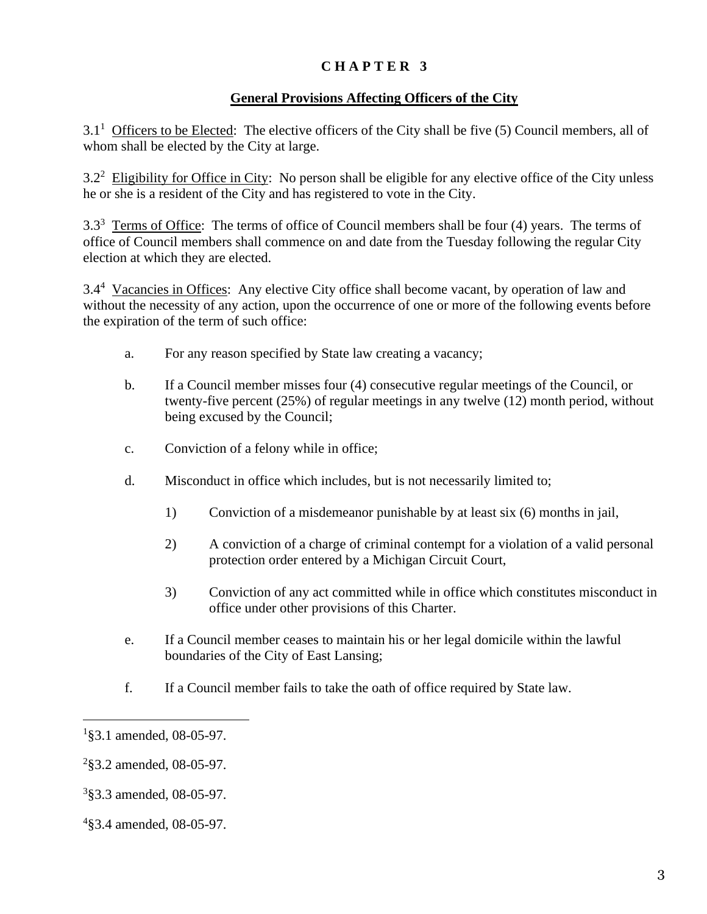## **General Provisions Affecting Officers of the City**

 $3.1<sup>1</sup>$  Officers to be Elected: The elective officers of the City shall be five (5) Council members, all of whom shall be elected by the City at large.

3.2<sup>2</sup> Eligibility for Office in City: No person shall be eligible for any elective office of the City unless he or she is a resident of the City and has registered to vote in the City.

 $3.3<sup>3</sup>$  Terms of Office: The terms of office of Council members shall be four (4) years. The terms of office of Council members shall commence on and date from the Tuesday following the regular City election at which they are elected.

3.4<sup>4</sup> Vacancies in Offices: Any elective City office shall become vacant, by operation of law and without the necessity of any action, upon the occurrence of one or more of the following events before the expiration of the term of such office:

- a. For any reason specified by State law creating a vacancy;
- b. If a Council member misses four (4) consecutive regular meetings of the Council, or twenty-five percent (25%) of regular meetings in any twelve (12) month period, without being excused by the Council;
- c. Conviction of a felony while in office;
- d. Misconduct in office which includes, but is not necessarily limited to;
	- 1) Conviction of a misdemeanor punishable by at least six (6) months in jail,
	- 2) A conviction of a charge of criminal contempt for a violation of a valid personal protection order entered by a Michigan Circuit Court,
	- 3) Conviction of any act committed while in office which constitutes misconduct in office under other provisions of this Charter.
- e. If a Council member ceases to maintain his or her legal domicile within the lawful boundaries of the City of East Lansing;
- f. If a Council member fails to take the oath of office required by State law.

<sup>&</sup>lt;sup>1</sup>§3.1 amended, 08-05-97.

 $2$ §3.2 amended, 08-05-97.

<sup>3</sup> §3.3 amended, 08-05-97.

<sup>4</sup> §3.4 amended, 08-05-97.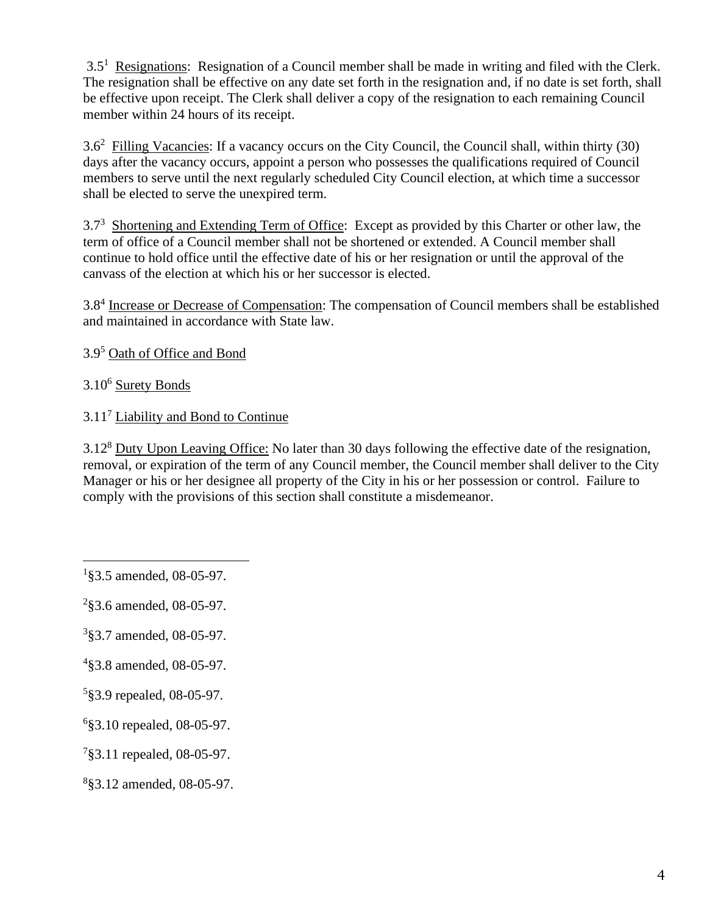$3.5<sup>1</sup>$  Resignations: Resignation of a Council member shall be made in writing and filed with the Clerk. The resignation shall be effective on any date set forth in the resignation and, if no date is set forth, shall be effective upon receipt. The Clerk shall deliver a copy of the resignation to each remaining Council member within 24 hours of its receipt.

3.6<sup>2</sup> Filling Vacancies: If a vacancy occurs on the City Council, the Council shall, within thirty (30) days after the vacancy occurs, appoint a person who possesses the qualifications required of Council members to serve until the next regularly scheduled City Council election, at which time a successor shall be elected to serve the unexpired term.

3.7<sup>3</sup> Shortening and Extending Term of Office: Except as provided by this Charter or other law, the term of office of a Council member shall not be shortened or extended. A Council member shall continue to hold office until the effective date of his or her resignation or until the approval of the canvass of the election at which his or her successor is elected.

3.8<sup>4</sup> Increase or Decrease of Compensation: The compensation of Council members shall be established and maintained in accordance with State law.

3.9<sup>5</sup> Oath of Office and Bond

3.10<sup>6</sup> Surety Bonds

3.11<sup>7</sup> Liability and Bond to Continue

3.12<sup>8</sup> Duty Upon Leaving Office: No later than 30 days following the effective date of the resignation, removal, or expiration of the term of any Council member, the Council member shall deliver to the City Manager or his or her designee all property of the City in his or her possession or control. Failure to comply with the provisions of this section shall constitute a misdemeanor.

- 3 §3.7 amended, 08-05-97.
- 4 §3.8 amended, 08-05-97.
- 5 §3.9 repealed, 08-05-97.
- 6 §3.10 repealed, 08-05-97.
- 7 §3.11 repealed, 08-05-97.
- 8 §3.12 amended, 08-05-97.

<sup>&</sup>lt;sup>1</sup>§3.5 amended, 08-05-97.

 $2$ §3.6 amended, 08-05-97.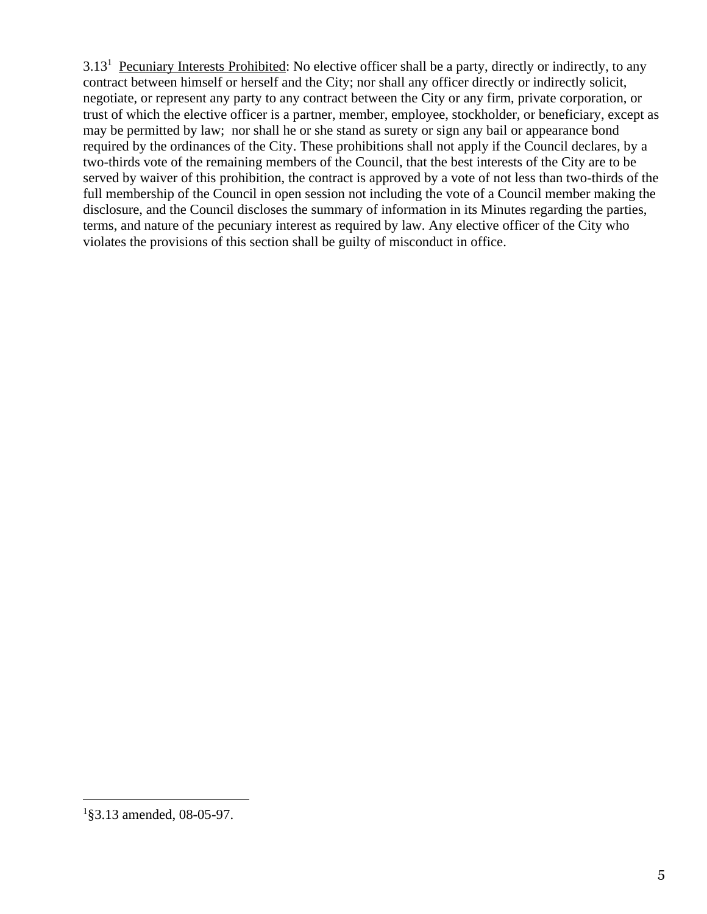3.13<sup>1</sup> Pecuniary Interests Prohibited: No elective officer shall be a party, directly or indirectly, to any contract between himself or herself and the City; nor shall any officer directly or indirectly solicit, negotiate, or represent any party to any contract between the City or any firm, private corporation, or trust of which the elective officer is a partner, member, employee, stockholder, or beneficiary, except as may be permitted by law; nor shall he or she stand as surety or sign any bail or appearance bond required by the ordinances of the City. These prohibitions shall not apply if the Council declares, by a two-thirds vote of the remaining members of the Council, that the best interests of the City are to be served by waiver of this prohibition, the contract is approved by a vote of not less than two-thirds of the full membership of the Council in open session not including the vote of a Council member making the disclosure, and the Council discloses the summary of information in its Minutes regarding the parties, terms, and nature of the pecuniary interest as required by law. Any elective officer of the City who violates the provisions of this section shall be guilty of misconduct in office.

<sup>1</sup> §3.13 amended, 08-05-97.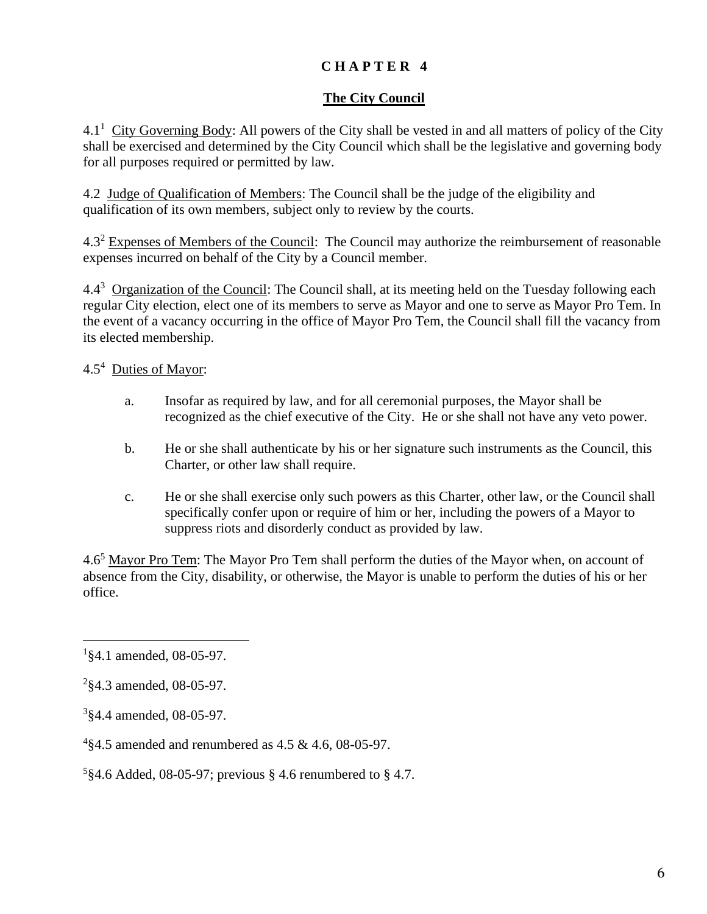## **The City Council**

 $4.1<sup>1</sup>$  City Governing Body: All powers of the City shall be vested in and all matters of policy of the City shall be exercised and determined by the City Council which shall be the legislative and governing body for all purposes required or permitted by law.

4.2 Judge of Qualification of Members: The Council shall be the judge of the eligibility and qualification of its own members, subject only to review by the courts.

4.3<sup>2</sup> Expenses of Members of the Council: The Council may authorize the reimbursement of reasonable expenses incurred on behalf of the City by a Council member.

4.4<sup>3</sup> Organization of the Council: The Council shall, at its meeting held on the Tuesday following each regular City election, elect one of its members to serve as Mayor and one to serve as Mayor Pro Tem. In the event of a vacancy occurring in the office of Mayor Pro Tem, the Council shall fill the vacancy from its elected membership.

4.5<sup>4</sup> Duties of Mayor:

- a. Insofar as required by law, and for all ceremonial purposes, the Mayor shall be recognized as the chief executive of the City. He or she shall not have any veto power.
- b. He or she shall authenticate by his or her signature such instruments as the Council, this Charter, or other law shall require.
- c. He or she shall exercise only such powers as this Charter, other law, or the Council shall specifically confer upon or require of him or her, including the powers of a Mayor to suppress riots and disorderly conduct as provided by law.

4.6<sup>5</sup> Mayor Pro Tem: The Mayor Pro Tem shall perform the duties of the Mayor when, on account of absence from the City, disability, or otherwise, the Mayor is unable to perform the duties of his or her office.

<sup>5</sup>§4.6 Added, 08-05-97; previous § 4.6 renumbered to § 4.7.

<sup>&</sup>lt;sup>1</sup>§4.1 amended, 08-05-97.

 $2$ §4.3 amended, 08-05-97.

<sup>3</sup> §4.4 amended, 08-05-97.

<sup>4</sup> §4.5 amended and renumbered as 4.5 & 4.6, 08-05-97.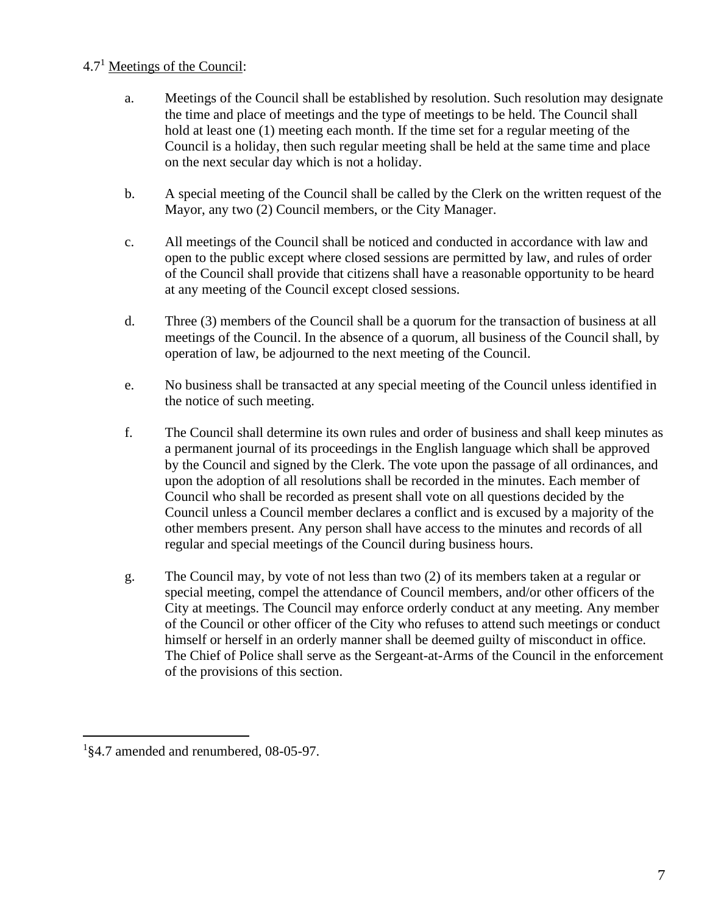## 4.7<sup>1</sup> Meetings of the Council:

- a. Meetings of the Council shall be established by resolution. Such resolution may designate the time and place of meetings and the type of meetings to be held. The Council shall hold at least one (1) meeting each month. If the time set for a regular meeting of the Council is a holiday, then such regular meeting shall be held at the same time and place on the next secular day which is not a holiday.
- b. A special meeting of the Council shall be called by the Clerk on the written request of the Mayor, any two (2) Council members, or the City Manager.
- c. All meetings of the Council shall be noticed and conducted in accordance with law and open to the public except where closed sessions are permitted by law, and rules of order of the Council shall provide that citizens shall have a reasonable opportunity to be heard at any meeting of the Council except closed sessions.
- d. Three (3) members of the Council shall be a quorum for the transaction of business at all meetings of the Council. In the absence of a quorum, all business of the Council shall, by operation of law, be adjourned to the next meeting of the Council.
- e. No business shall be transacted at any special meeting of the Council unless identified in the notice of such meeting.
- f. The Council shall determine its own rules and order of business and shall keep minutes as a permanent journal of its proceedings in the English language which shall be approved by the Council and signed by the Clerk. The vote upon the passage of all ordinances, and upon the adoption of all resolutions shall be recorded in the minutes. Each member of Council who shall be recorded as present shall vote on all questions decided by the Council unless a Council member declares a conflict and is excused by a majority of the other members present. Any person shall have access to the minutes and records of all regular and special meetings of the Council during business hours.
- g. The Council may, by vote of not less than two (2) of its members taken at a regular or special meeting, compel the attendance of Council members, and/or other officers of the City at meetings. The Council may enforce orderly conduct at any meeting. Any member of the Council or other officer of the City who refuses to attend such meetings or conduct himself or herself in an orderly manner shall be deemed guilty of misconduct in office. The Chief of Police shall serve as the Sergeant-at-Arms of the Council in the enforcement of the provisions of this section.

<sup>1</sup> §4.7 amended and renumbered, 08-05-97.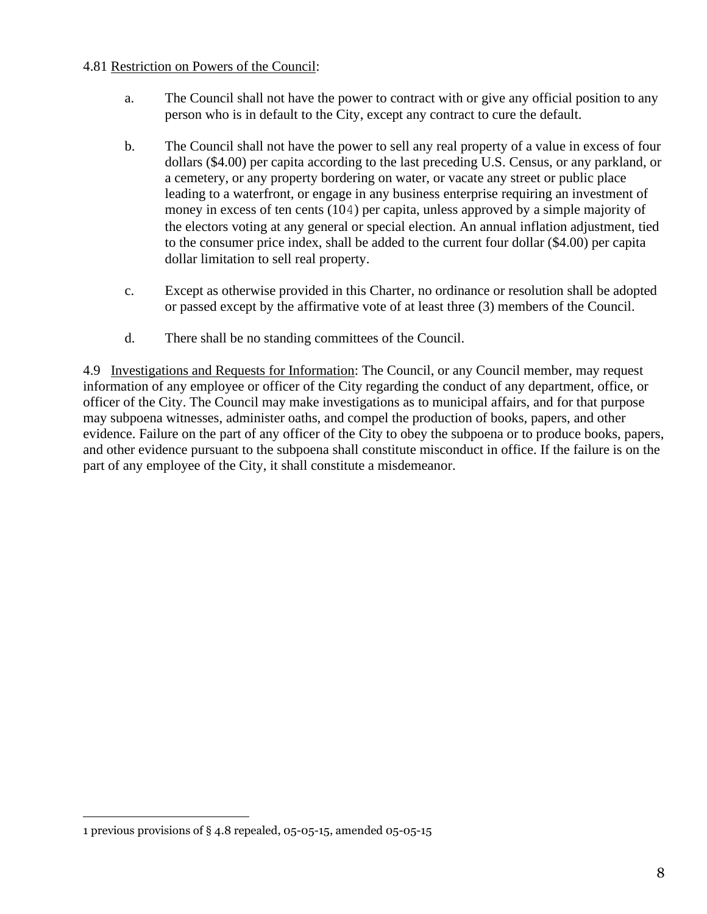#### 4.81 Restriction on Powers of the Council:

- a. The Council shall not have the power to contract with or give any official position to any person who is in default to the City, except any contract to cure the default.
- b. The Council shall not have the power to sell any real property of a value in excess of four dollars (\$4.00) per capita according to the last preceding U.S. Census, or any parkland, or a cemetery, or any property bordering on water, or vacate any street or public place leading to a waterfront, or engage in any business enterprise requiring an investment of money in excess of ten cents (104) per capita, unless approved by a simple majority of the electors voting at any general or special election. An annual inflation adjustment, tied to the consumer price index, shall be added to the current four dollar (\$4.00) per capita dollar limitation to sell real property.
- c. Except as otherwise provided in this Charter, no ordinance or resolution shall be adopted or passed except by the affirmative vote of at least three (3) members of the Council.
- d. There shall be no standing committees of the Council.

4.9 Investigations and Requests for Information: The Council, or any Council member, may request information of any employee or officer of the City regarding the conduct of any department, office, or officer of the City. The Council may make investigations as to municipal affairs, and for that purpose may subpoena witnesses, administer oaths, and compel the production of books, papers, and other evidence. Failure on the part of any officer of the City to obey the subpoena or to produce books, papers, and other evidence pursuant to the subpoena shall constitute misconduct in office. If the failure is on the part of any employee of the City, it shall constitute a misdemeanor.

<sup>1</sup> previous provisions of § 4.8 repealed, 05-05-15, amended 05-05-15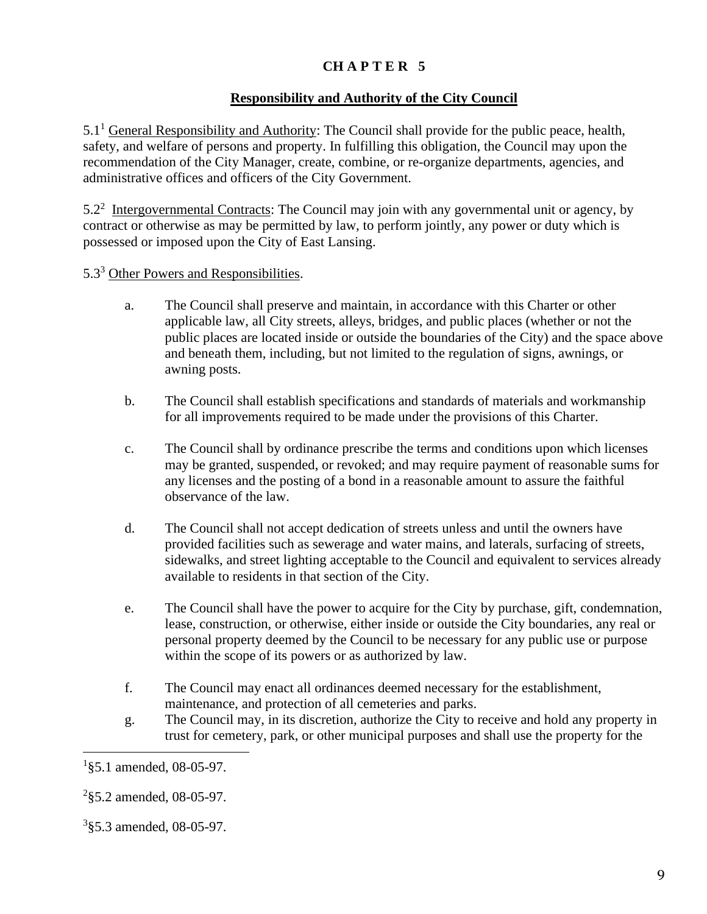#### **Responsibility and Authority of the City Council**

 $5.1<sup>1</sup>$  General Responsibility and Authority: The Council shall provide for the public peace, health, safety, and welfare of persons and property. In fulfilling this obligation, the Council may upon the recommendation of the City Manager, create, combine, or re-organize departments, agencies, and administrative offices and officers of the City Government.

 $5.2<sup>2</sup>$  Intergovernmental Contracts: The Council may join with any governmental unit or agency, by contract or otherwise as may be permitted by law, to perform jointly, any power or duty which is possessed or imposed upon the City of East Lansing.

#### 5.3<sup>3</sup> Other Powers and Responsibilities.

- a. The Council shall preserve and maintain, in accordance with this Charter or other applicable law, all City streets, alleys, bridges, and public places (whether or not the public places are located inside or outside the boundaries of the City) and the space above and beneath them, including, but not limited to the regulation of signs, awnings, or awning posts.
- b. The Council shall establish specifications and standards of materials and workmanship for all improvements required to be made under the provisions of this Charter.
- c. The Council shall by ordinance prescribe the terms and conditions upon which licenses may be granted, suspended, or revoked; and may require payment of reasonable sums for any licenses and the posting of a bond in a reasonable amount to assure the faithful observance of the law.
- d. The Council shall not accept dedication of streets unless and until the owners have provided facilities such as sewerage and water mains, and laterals, surfacing of streets, sidewalks, and street lighting acceptable to the Council and equivalent to services already available to residents in that section of the City.
- e. The Council shall have the power to acquire for the City by purchase, gift, condemnation, lease, construction, or otherwise, either inside or outside the City boundaries, any real or personal property deemed by the Council to be necessary for any public use or purpose within the scope of its powers or as authorized by law.
- f. The Council may enact all ordinances deemed necessary for the establishment, maintenance, and protection of all cemeteries and parks.
- g. The Council may, in its discretion, authorize the City to receive and hold any property in trust for cemetery, park, or other municipal purposes and shall use the property for the

<sup>&</sup>lt;sup>1</sup>§5.1 amended, 08-05-97.

 $2$ §5.2 amended, 08-05-97.

<sup>3</sup> §5.3 amended, 08-05-97.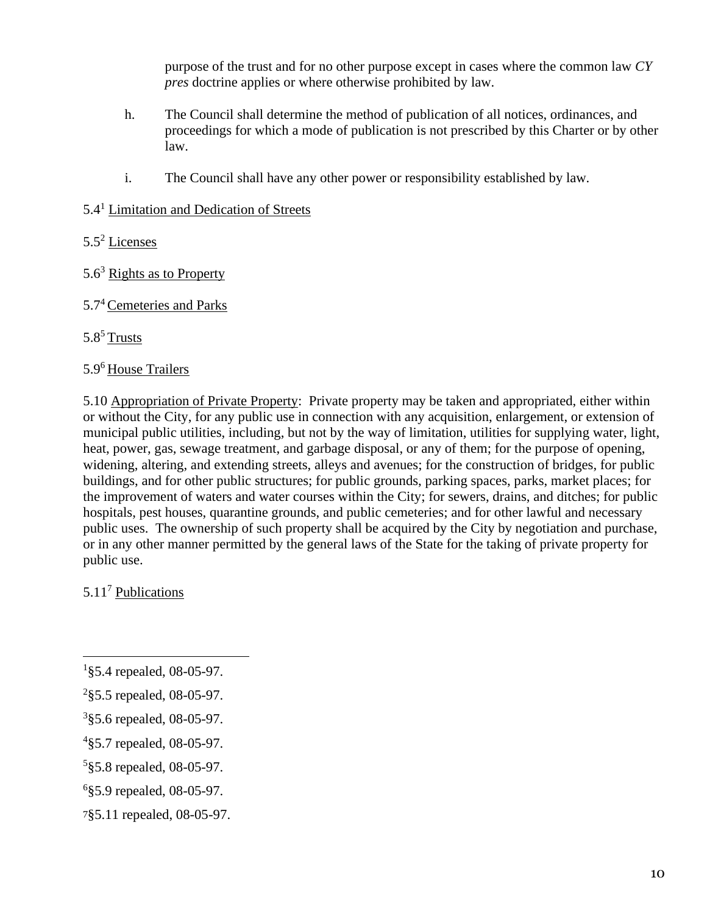purpose of the trust and for no other purpose except in cases where the common law *CY pres* doctrine applies or where otherwise prohibited by law.

- h. The Council shall determine the method of publication of all notices, ordinances, and proceedings for which a mode of publication is not prescribed by this Charter or by other law.
- i. The Council shall have any other power or responsibility established by law.

## 5.4<sup>1</sup> Limitation and Dedication of Streets

- 5.5<sup>2</sup> Licenses
- $5.6<sup>3</sup>$  Rights as to Property
- 5.7<sup>4</sup> Cemeteries and Parks

## $5.8<sup>5</sup>$  Trusts

## 5.9<sup>6</sup> House Trailers

5.10 Appropriation of Private Property: Private property may be taken and appropriated, either within or without the City, for any public use in connection with any acquisition, enlargement, or extension of municipal public utilities, including, but not by the way of limitation, utilities for supplying water, light, heat, power, gas, sewage treatment, and garbage disposal, or any of them; for the purpose of opening, widening, altering, and extending streets, alleys and avenues; for the construction of bridges, for public buildings, and for other public structures; for public grounds, parking spaces, parks, market places; for the improvement of waters and water courses within the City; for sewers, drains, and ditches; for public hospitals, pest houses, quarantine grounds, and public cemeteries; and for other lawful and necessary public uses. The ownership of such property shall be acquired by the City by negotiation and purchase, or in any other manner permitted by the general laws of the State for the taking of private property for public use.

5.11<sup>7</sup> Publications

7§5.11 repealed, 08-05-97.

<sup>&</sup>lt;sup>1</sup>§5.4 repealed, 08-05-97.

 $2$ §5.5 repealed, 08-05-97.

<sup>&</sup>lt;sup>3</sup>§5.6 repealed, 08-05-97.

<sup>&</sup>lt;sup>4</sup>§5.7 repealed, 08-05-97.

<sup>&</sup>lt;sup>5</sup>§5.8 repealed, 08-05-97.

<sup>6</sup> §5.9 repealed, 08-05-97.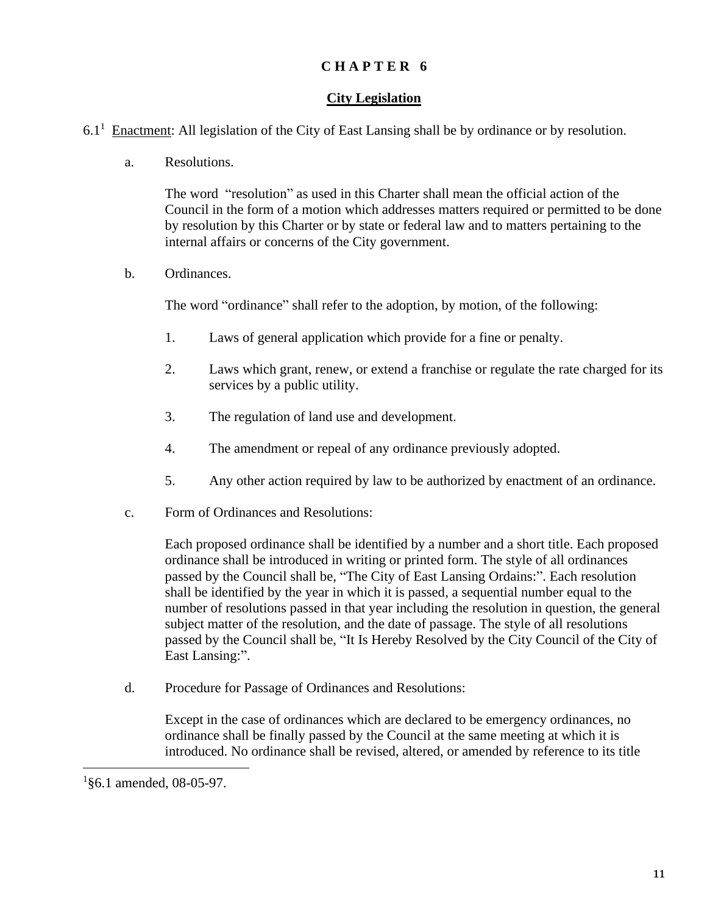#### **City Legislation**

- $6.1<sup>1</sup>$  Enactment: All legislation of the City of East Lansing shall be by ordinance or by resolution.
	- a. Resolutions.

The word "resolution" as used in this Charter shall mean the official action of the Council in the form of a motion which addresses matters required or permitted to be done by resolution by this Charter or by state or federal law and to matters pertaining to the internal affairs or concerns of the City government.

b. Ordinances.

The word "ordinance" shall refer to the adoption, by motion, of the following:

- 1. Laws of general application which provide for a fine or penalty.
- 2. Laws which grant, renew, or extend a franchise or regulate the rate charged for its services by a public utility.
- 3. The regulation of land use and development.
- 4. The amendment or repeal of any ordinance previously adopted.
- 5. Any other action required by law to be authorized by enactment of an ordinance.
- c. Form of Ordinances and Resolutions:

Each proposed ordinance shall be identified by a number and a short title. Each proposed ordinance shall be introduced in writing or printed form. The style of all ordinances passed by the Council shall be, "The City of East Lansing Ordains:". Each resolution shall be identified by the year in which it is passed, a sequential number equal to the number of resolutions passed in that year including the resolution in question, the general subject matter of the resolution, and the date of passage. The style of all resolutions passed by the Council shall be, "It Is Hereby Resolved by the City Council of the City of East Lansing:".

d. Procedure for Passage of Ordinances and Resolutions:

Except in the case of ordinances which are declared to be emergency ordinances, no ordinance shall be finally passed by the Council at the same meeting at which it is introduced. No ordinance shall be revised, altered, or amended by reference to its title

<sup>&</sup>lt;sup>1</sup>§6.1 amended, 08-05-97.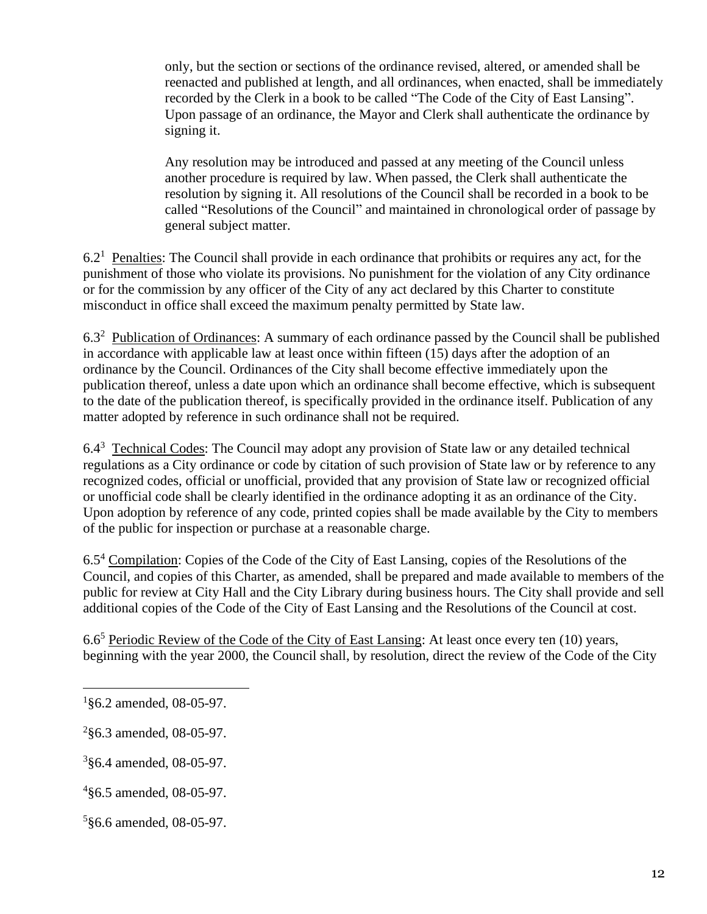only, but the section or sections of the ordinance revised, altered, or amended shall be reenacted and published at length, and all ordinances, when enacted, shall be immediately recorded by the Clerk in a book to be called "The Code of the City of East Lansing". Upon passage of an ordinance, the Mayor and Clerk shall authenticate the ordinance by signing it.

Any resolution may be introduced and passed at any meeting of the Council unless another procedure is required by law. When passed, the Clerk shall authenticate the resolution by signing it. All resolutions of the Council shall be recorded in a book to be called "Resolutions of the Council" and maintained in chronological order of passage by general subject matter.

 $6.2<sup>1</sup>$  Penalties: The Council shall provide in each ordinance that prohibits or requires any act, for the punishment of those who violate its provisions. No punishment for the violation of any City ordinance or for the commission by any officer of the City of any act declared by this Charter to constitute misconduct in office shall exceed the maximum penalty permitted by State law.

6.3<sup>2</sup> Publication of Ordinances: A summary of each ordinance passed by the Council shall be published in accordance with applicable law at least once within fifteen (15) days after the adoption of an ordinance by the Council. Ordinances of the City shall become effective immediately upon the publication thereof, unless a date upon which an ordinance shall become effective, which is subsequent to the date of the publication thereof, is specifically provided in the ordinance itself. Publication of any matter adopted by reference in such ordinance shall not be required.

6.4<sup>3</sup> Technical Codes: The Council may adopt any provision of State law or any detailed technical regulations as a City ordinance or code by citation of such provision of State law or by reference to any recognized codes, official or unofficial, provided that any provision of State law or recognized official or unofficial code shall be clearly identified in the ordinance adopting it as an ordinance of the City. Upon adoption by reference of any code, printed copies shall be made available by the City to members of the public for inspection or purchase at a reasonable charge.

6.5<sup>4</sup> Compilation: Copies of the Code of the City of East Lansing, copies of the Resolutions of the Council, and copies of this Charter, as amended, shall be prepared and made available to members of the public for review at City Hall and the City Library during business hours. The City shall provide and sell additional copies of the Code of the City of East Lansing and the Resolutions of the Council at cost.

6.6<sup>5</sup> Periodic Review of the Code of the City of East Lansing: At least once every ten (10) years, beginning with the year 2000, the Council shall, by resolution, direct the review of the Code of the City

<sup>&</sup>lt;sup>1</sup>§6.2 amended, 08-05-97.

 $2$ §6.3 amended, 08-05-97.

<sup>3</sup> §6.4 amended, 08-05-97.

<sup>4</sup> §6.5 amended, 08-05-97.

<sup>5</sup> §6.6 amended, 08-05-97.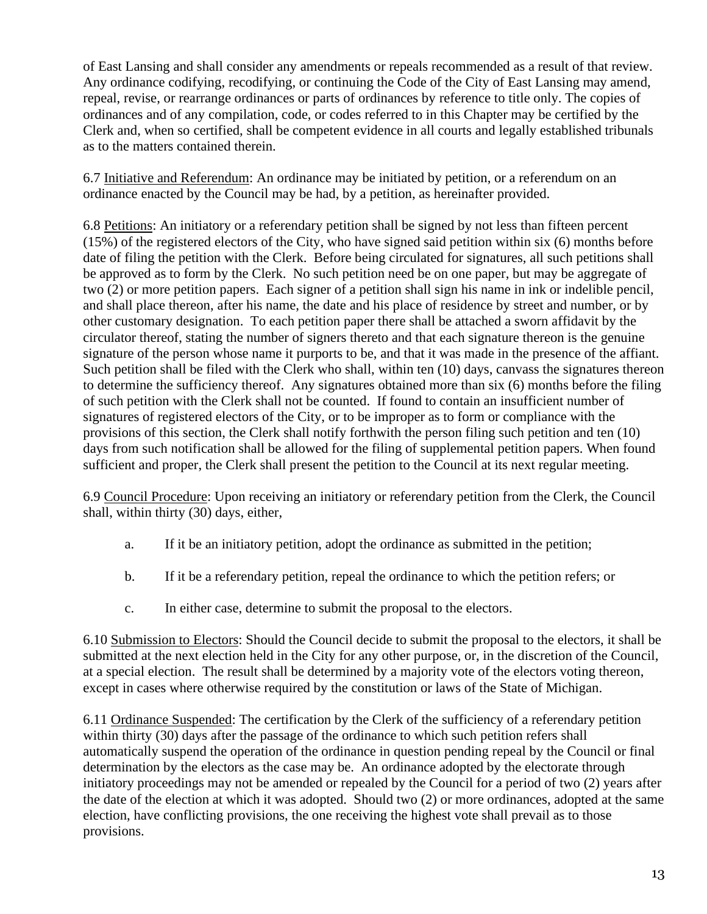of East Lansing and shall consider any amendments or repeals recommended as a result of that review. Any ordinance codifying, recodifying, or continuing the Code of the City of East Lansing may amend, repeal, revise, or rearrange ordinances or parts of ordinances by reference to title only. The copies of ordinances and of any compilation, code, or codes referred to in this Chapter may be certified by the Clerk and, when so certified, shall be competent evidence in all courts and legally established tribunals as to the matters contained therein.

6.7 Initiative and Referendum: An ordinance may be initiated by petition, or a referendum on an ordinance enacted by the Council may be had, by a petition, as hereinafter provided.

6.8 Petitions: An initiatory or a referendary petition shall be signed by not less than fifteen percent (15%) of the registered electors of the City, who have signed said petition within six (6) months before date of filing the petition with the Clerk. Before being circulated for signatures, all such petitions shall be approved as to form by the Clerk. No such petition need be on one paper, but may be aggregate of two (2) or more petition papers. Each signer of a petition shall sign his name in ink or indelible pencil, and shall place thereon, after his name, the date and his place of residence by street and number, or by other customary designation. To each petition paper there shall be attached a sworn affidavit by the circulator thereof, stating the number of signers thereto and that each signature thereon is the genuine signature of the person whose name it purports to be, and that it was made in the presence of the affiant. Such petition shall be filed with the Clerk who shall, within ten (10) days, canvass the signatures thereon to determine the sufficiency thereof. Any signatures obtained more than six (6) months before the filing of such petition with the Clerk shall not be counted. If found to contain an insufficient number of signatures of registered electors of the City, or to be improper as to form or compliance with the provisions of this section, the Clerk shall notify forthwith the person filing such petition and ten (10) days from such notification shall be allowed for the filing of supplemental petition papers. When found sufficient and proper, the Clerk shall present the petition to the Council at its next regular meeting.

6.9 Council Procedure: Upon receiving an initiatory or referendary petition from the Clerk, the Council shall, within thirty (30) days, either,

- a. If it be an initiatory petition, adopt the ordinance as submitted in the petition;
- b. If it be a referendary petition, repeal the ordinance to which the petition refers; or
- c. In either case, determine to submit the proposal to the electors.

6.10 Submission to Electors: Should the Council decide to submit the proposal to the electors, it shall be submitted at the next election held in the City for any other purpose, or, in the discretion of the Council, at a special election. The result shall be determined by a majority vote of the electors voting thereon, except in cases where otherwise required by the constitution or laws of the State of Michigan.

6.11 Ordinance Suspended: The certification by the Clerk of the sufficiency of a referendary petition within thirty (30) days after the passage of the ordinance to which such petition refers shall automatically suspend the operation of the ordinance in question pending repeal by the Council or final determination by the electors as the case may be. An ordinance adopted by the electorate through initiatory proceedings may not be amended or repealed by the Council for a period of two (2) years after the date of the election at which it was adopted. Should two (2) or more ordinances, adopted at the same election, have conflicting provisions, the one receiving the highest vote shall prevail as to those provisions.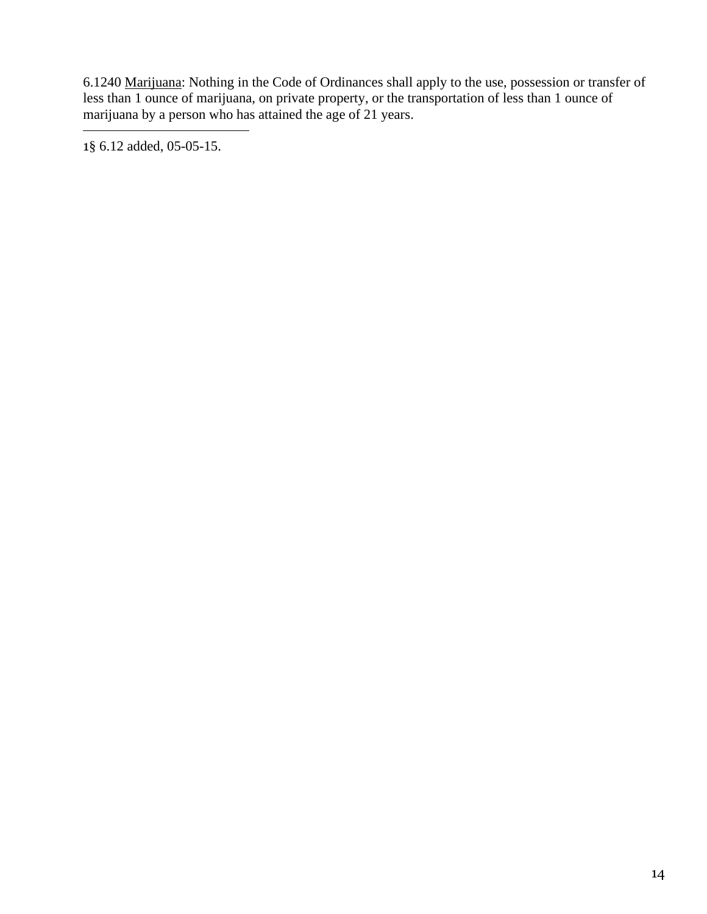6.1240 Marijuana: Nothing in the Code of Ordinances shall apply to the use, possession or transfer of less than 1 ounce of marijuana, on private property, or the transportation of less than 1 ounce of marijuana by a person who has attained the age of 21 years.

1§ 6.12 added, 05-05-15.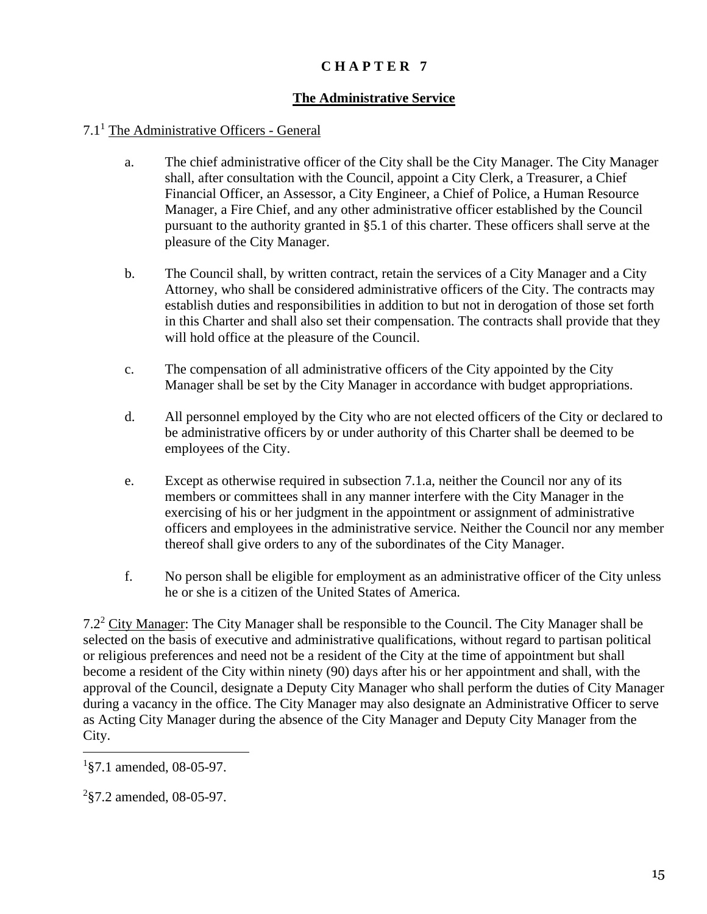#### **The Administrative Service**

#### 7.1<sup>1</sup> The Administrative Officers - General

- a. The chief administrative officer of the City shall be the City Manager. The City Manager shall, after consultation with the Council, appoint a City Clerk, a Treasurer, a Chief Financial Officer, an Assessor, a City Engineer, a Chief of Police, a Human Resource Manager, a Fire Chief, and any other administrative officer established by the Council pursuant to the authority granted in §5.1 of this charter. These officers shall serve at the pleasure of the City Manager.
- b. The Council shall, by written contract, retain the services of a City Manager and a City Attorney, who shall be considered administrative officers of the City. The contracts may establish duties and responsibilities in addition to but not in derogation of those set forth in this Charter and shall also set their compensation. The contracts shall provide that they will hold office at the pleasure of the Council.
- c. The compensation of all administrative officers of the City appointed by the City Manager shall be set by the City Manager in accordance with budget appropriations.
- d. All personnel employed by the City who are not elected officers of the City or declared to be administrative officers by or under authority of this Charter shall be deemed to be employees of the City.
- e. Except as otherwise required in subsection 7.1.a, neither the Council nor any of its members or committees shall in any manner interfere with the City Manager in the exercising of his or her judgment in the appointment or assignment of administrative officers and employees in the administrative service. Neither the Council nor any member thereof shall give orders to any of the subordinates of the City Manager.
- f. No person shall be eligible for employment as an administrative officer of the City unless he or she is a citizen of the United States of America.

7.2<sup>2</sup> City Manager: The City Manager shall be responsible to the Council. The City Manager shall be selected on the basis of executive and administrative qualifications, without regard to partisan political or religious preferences and need not be a resident of the City at the time of appointment but shall become a resident of the City within ninety (90) days after his or her appointment and shall, with the approval of the Council, designate a Deputy City Manager who shall perform the duties of City Manager during a vacancy in the office. The City Manager may also designate an Administrative Officer to serve as Acting City Manager during the absence of the City Manager and Deputy City Manager from the City.

<sup>1</sup> §7.1 amended, 08-05-97.

 $2$ <sup>2</sup>§7.2 amended, 08-05-97.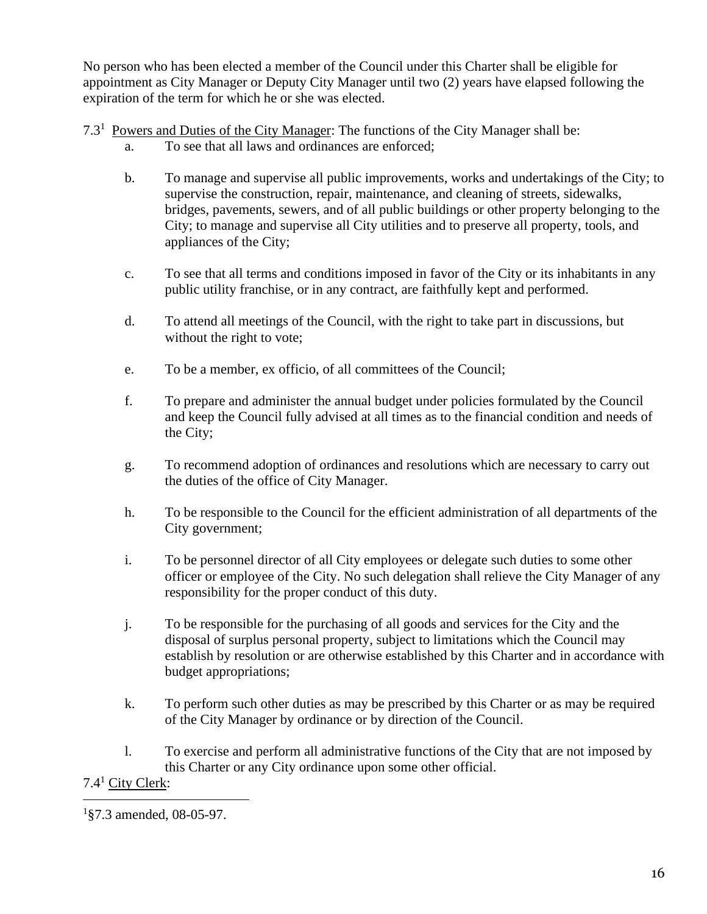No person who has been elected a member of the Council under this Charter shall be eligible for appointment as City Manager or Deputy City Manager until two (2) years have elapsed following the expiration of the term for which he or she was elected.

- 7.3<sup>1</sup> Powers and Duties of the City Manager: The functions of the City Manager shall be:
	- a. To see that all laws and ordinances are enforced;
	- b. To manage and supervise all public improvements, works and undertakings of the City; to supervise the construction, repair, maintenance, and cleaning of streets, sidewalks, bridges, pavements, sewers, and of all public buildings or other property belonging to the City; to manage and supervise all City utilities and to preserve all property, tools, and appliances of the City;
	- c. To see that all terms and conditions imposed in favor of the City or its inhabitants in any public utility franchise, or in any contract, are faithfully kept and performed.
	- d. To attend all meetings of the Council, with the right to take part in discussions, but without the right to vote;
	- e. To be a member, ex officio, of all committees of the Council;
	- f. To prepare and administer the annual budget under policies formulated by the Council and keep the Council fully advised at all times as to the financial condition and needs of the City;
	- g. To recommend adoption of ordinances and resolutions which are necessary to carry out the duties of the office of City Manager.
	- h. To be responsible to the Council for the efficient administration of all departments of the City government;
	- i. To be personnel director of all City employees or delegate such duties to some other officer or employee of the City. No such delegation shall relieve the City Manager of any responsibility for the proper conduct of this duty.
	- j. To be responsible for the purchasing of all goods and services for the City and the disposal of surplus personal property, subject to limitations which the Council may establish by resolution or are otherwise established by this Charter and in accordance with budget appropriations;
	- k. To perform such other duties as may be prescribed by this Charter or as may be required of the City Manager by ordinance or by direction of the Council.
	- l. To exercise and perform all administrative functions of the City that are not imposed by this Charter or any City ordinance upon some other official.

7.4<sup>1</sup> City Clerk:

<sup>1</sup> §7.3 amended, 08-05-97.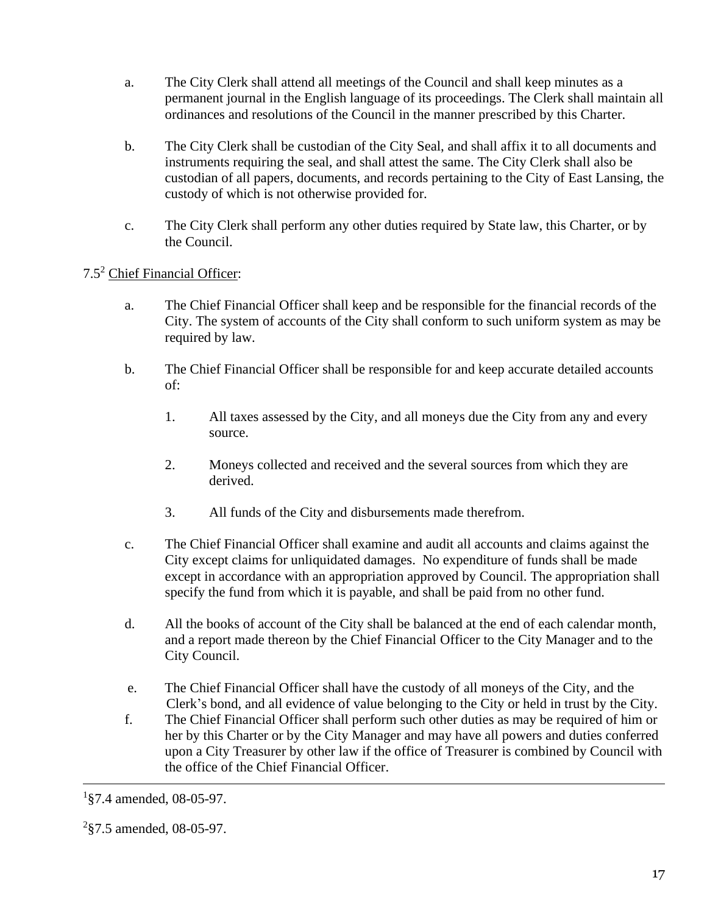- a. The City Clerk shall attend all meetings of the Council and shall keep minutes as a permanent journal in the English language of its proceedings. The Clerk shall maintain all ordinances and resolutions of the Council in the manner prescribed by this Charter.
- b. The City Clerk shall be custodian of the City Seal, and shall affix it to all documents and instruments requiring the seal, and shall attest the same. The City Clerk shall also be custodian of all papers, documents, and records pertaining to the City of East Lansing, the custody of which is not otherwise provided for.
- c. The City Clerk shall perform any other duties required by State law, this Charter, or by the Council.

# 7.5<sup>2</sup> Chief Financial Officer:

- a. The Chief Financial Officer shall keep and be responsible for the financial records of the City. The system of accounts of the City shall conform to such uniform system as may be required by law.
- b. The Chief Financial Officer shall be responsible for and keep accurate detailed accounts of:
	- 1. All taxes assessed by the City, and all moneys due the City from any and every source.
	- 2. Moneys collected and received and the several sources from which they are derived.
	- 3. All funds of the City and disbursements made therefrom.
- c. The Chief Financial Officer shall examine and audit all accounts and claims against the City except claims for unliquidated damages. No expenditure of funds shall be made except in accordance with an appropriation approved by Council. The appropriation shall specify the fund from which it is payable, and shall be paid from no other fund.
- d. All the books of account of the City shall be balanced at the end of each calendar month, and a report made thereon by the Chief Financial Officer to the City Manager and to the City Council.
- e. The Chief Financial Officer shall have the custody of all moneys of the City, and the Clerk's bond, and all evidence of value belonging to the City or held in trust by the City.
- f. The Chief Financial Officer shall perform such other duties as may be required of him or her by this Charter or by the City Manager and may have all powers and duties conferred upon a City Treasurer by other law if the office of Treasurer is combined by Council with the office of the Chief Financial Officer.

 $1$ §7.4 amended, 08-05-97.

 $2$ §7.5 amended, 08-05-97.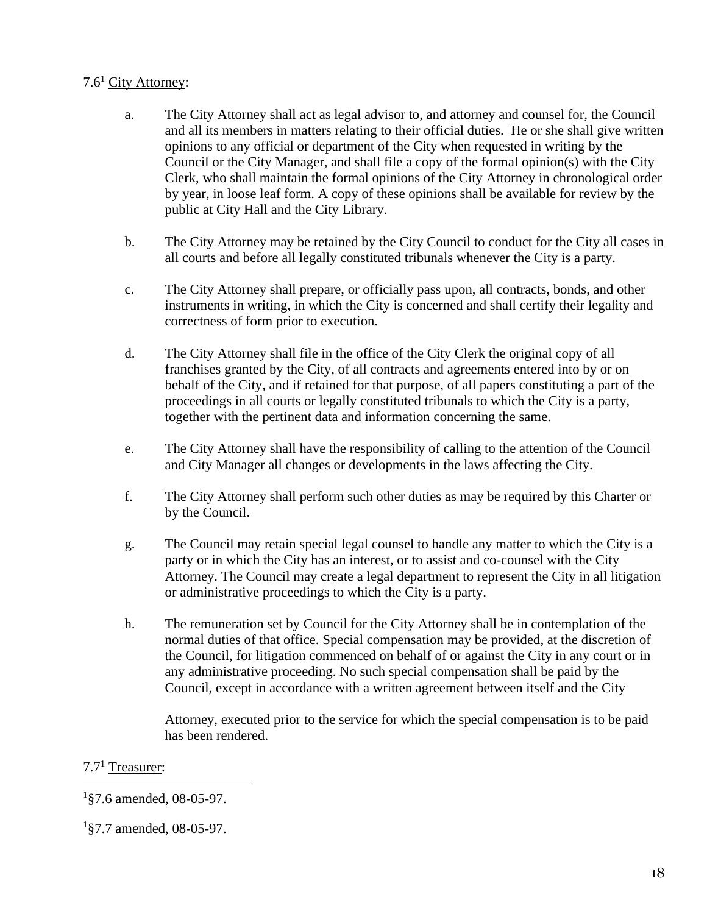# 7.6<sup>1</sup> City Attorney:

- a. The City Attorney shall act as legal advisor to, and attorney and counsel for, the Council and all its members in matters relating to their official duties. He or she shall give written opinions to any official or department of the City when requested in writing by the Council or the City Manager, and shall file a copy of the formal opinion(s) with the City Clerk, who shall maintain the formal opinions of the City Attorney in chronological order by year, in loose leaf form. A copy of these opinions shall be available for review by the public at City Hall and the City Library.
- b. The City Attorney may be retained by the City Council to conduct for the City all cases in all courts and before all legally constituted tribunals whenever the City is a party.
- c. The City Attorney shall prepare, or officially pass upon, all contracts, bonds, and other instruments in writing, in which the City is concerned and shall certify their legality and correctness of form prior to execution.
- d. The City Attorney shall file in the office of the City Clerk the original copy of all franchises granted by the City, of all contracts and agreements entered into by or on behalf of the City, and if retained for that purpose, of all papers constituting a part of the proceedings in all courts or legally constituted tribunals to which the City is a party, together with the pertinent data and information concerning the same.
- e. The City Attorney shall have the responsibility of calling to the attention of the Council and City Manager all changes or developments in the laws affecting the City.
- f. The City Attorney shall perform such other duties as may be required by this Charter or by the Council.
- g. The Council may retain special legal counsel to handle any matter to which the City is a party or in which the City has an interest, or to assist and co-counsel with the City Attorney. The Council may create a legal department to represent the City in all litigation or administrative proceedings to which the City is a party.
- h. The remuneration set by Council for the City Attorney shall be in contemplation of the normal duties of that office. Special compensation may be provided, at the discretion of the Council, for litigation commenced on behalf of or against the City in any court or in any administrative proceeding. No such special compensation shall be paid by the Council, except in accordance with a written agreement between itself and the City

Attorney, executed prior to the service for which the special compensation is to be paid has been rendered.

# $7.7<sup>1</sup>$  Treasurer:

 $1\$ 37.6 amended, 08-05-97.

<sup>1</sup> §7.7 amended, 08-05-97.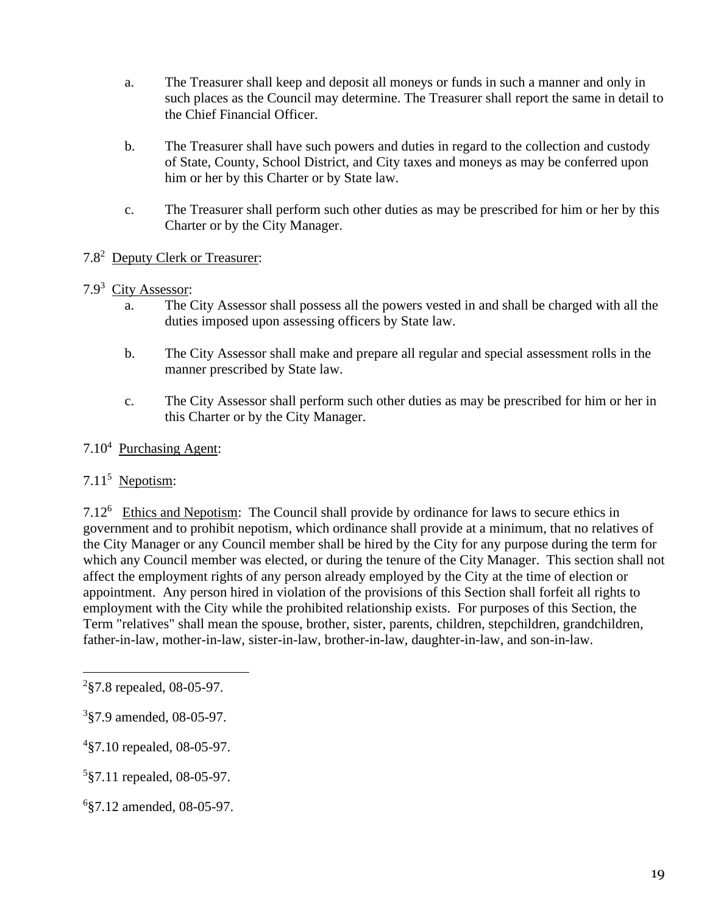- a. The Treasurer shall keep and deposit all moneys or funds in such a manner and only in such places as the Council may determine. The Treasurer shall report the same in detail to the Chief Financial Officer.
- b. The Treasurer shall have such powers and duties in regard to the collection and custody of State, County, School District, and City taxes and moneys as may be conferred upon him or her by this Charter or by State law.
- c. The Treasurer shall perform such other duties as may be prescribed for him or her by this Charter or by the City Manager.

# 7.8<sup>2</sup> Deputy Clerk or Treasurer:

#### 7.9<sup>3</sup> City Assessor:

- a. The City Assessor shall possess all the powers vested in and shall be charged with all the duties imposed upon assessing officers by State law.
- b. The City Assessor shall make and prepare all regular and special assessment rolls in the manner prescribed by State law.
- c. The City Assessor shall perform such other duties as may be prescribed for him or her in this Charter or by the City Manager.

#### 7.10<sup>4</sup> Purchasing Agent:

# 7.11<sup>5</sup> Nepotism:

7.12<sup>6</sup> Ethics and Nepotism: The Council shall provide by ordinance for laws to secure ethics in government and to prohibit nepotism, which ordinance shall provide at a minimum, that no relatives of the City Manager or any Council member shall be hired by the City for any purpose during the term for which any Council member was elected, or during the tenure of the City Manager. This section shall not affect the employment rights of any person already employed by the City at the time of election or appointment. Any person hired in violation of the provisions of this Section shall forfeit all rights to employment with the City while the prohibited relationship exists. For purposes of this Section, the Term "relatives" shall mean the spouse, brother, sister, parents, children, stepchildren, grandchildren, father-in-law, mother-in-law, sister-in-law, brother-in-law, daughter-in-law, and son-in-law.

 $2$ §7.8 repealed, 08-05-97.

<sup>3</sup> §7.9 amended, 08-05-97.

<sup>4</sup> §7.10 repealed, 08-05-97.

<sup>5</sup> §7.11 repealed, 08-05-97.

<sup>6</sup> §7.12 amended, 08-05-97.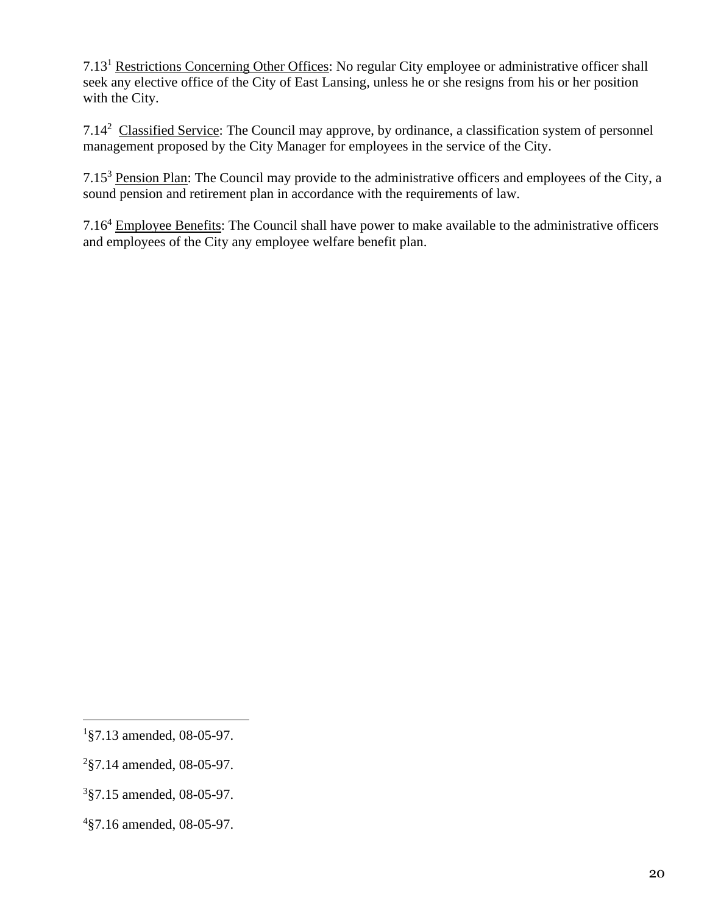7.13<sup>1</sup> Restrictions Concerning Other Offices: No regular City employee or administrative officer shall seek any elective office of the City of East Lansing, unless he or she resigns from his or her position with the City.

7.14<sup>2</sup> Classified Service: The Council may approve, by ordinance, a classification system of personnel management proposed by the City Manager for employees in the service of the City.

7.15<sup>3</sup> Pension Plan: The Council may provide to the administrative officers and employees of the City, a sound pension and retirement plan in accordance with the requirements of law.

7.16<sup>4</sup> Employee Benefits: The Council shall have power to make available to the administrative officers and employees of the City any employee welfare benefit plan.

<sup>1</sup> §7.13 amended, 08-05-97.

<sup>2</sup> §7.14 amended, 08-05-97.

<sup>3</sup> §7.15 amended, 08-05-97.

<sup>4</sup> §7.16 amended, 08-05-97.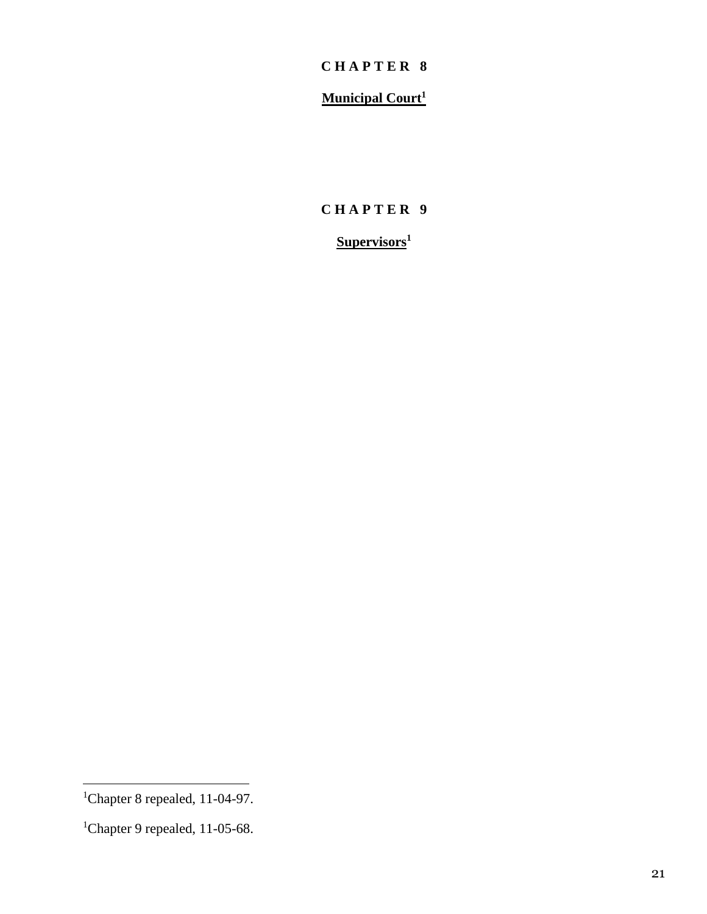# **Municipal Court<sup>1</sup>**

# **C H A P T E R 9**

# **Supervisors<sup>1</sup>**

<sup>&</sup>lt;sup>1</sup>Chapter 8 repealed, 11-04-97.

<sup>&</sup>lt;sup>1</sup>Chapter 9 repealed, 11-05-68.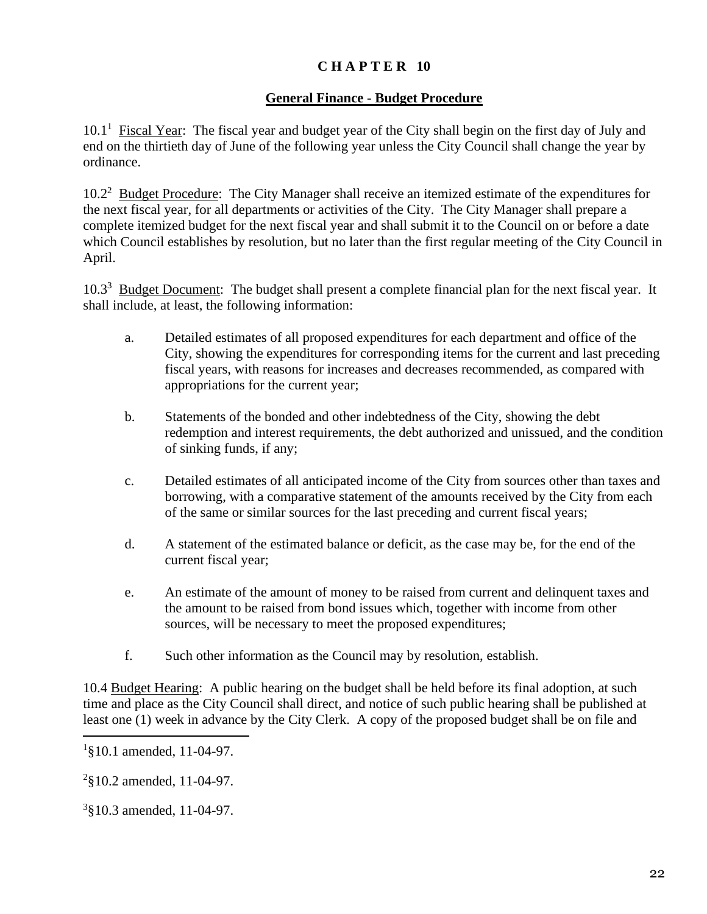#### **General Finance - Budget Procedure**

10.1<sup>1</sup> Fiscal Year: The fiscal year and budget year of the City shall begin on the first day of July and end on the thirtieth day of June of the following year unless the City Council shall change the year by ordinance.

10.2<sup>2</sup> Budget Procedure: The City Manager shall receive an itemized estimate of the expenditures for the next fiscal year, for all departments or activities of the City. The City Manager shall prepare a complete itemized budget for the next fiscal year and shall submit it to the Council on or before a date which Council establishes by resolution, but no later than the first regular meeting of the City Council in April.

10.3<sup>3</sup> Budget Document: The budget shall present a complete financial plan for the next fiscal year. It shall include, at least, the following information:

- a. Detailed estimates of all proposed expenditures for each department and office of the City, showing the expenditures for corresponding items for the current and last preceding fiscal years, with reasons for increases and decreases recommended, as compared with appropriations for the current year;
- b. Statements of the bonded and other indebtedness of the City, showing the debt redemption and interest requirements, the debt authorized and unissued, and the condition of sinking funds, if any;
- c. Detailed estimates of all anticipated income of the City from sources other than taxes and borrowing, with a comparative statement of the amounts received by the City from each of the same or similar sources for the last preceding and current fiscal years;
- d. A statement of the estimated balance or deficit, as the case may be, for the end of the current fiscal year;
- e. An estimate of the amount of money to be raised from current and delinquent taxes and the amount to be raised from bond issues which, together with income from other sources, will be necessary to meet the proposed expenditures;
- f. Such other information as the Council may by resolution, establish.

10.4 Budget Hearing: A public hearing on the budget shall be held before its final adoption, at such time and place as the City Council shall direct, and notice of such public hearing shall be published at least one (1) week in advance by the City Clerk. A copy of the proposed budget shall be on file and

<sup>2</sup>§10.2 amended, 11-04-97.

3 §10.3 amended, 11-04-97.

<sup>1</sup> §10.1 amended, 11-04-97.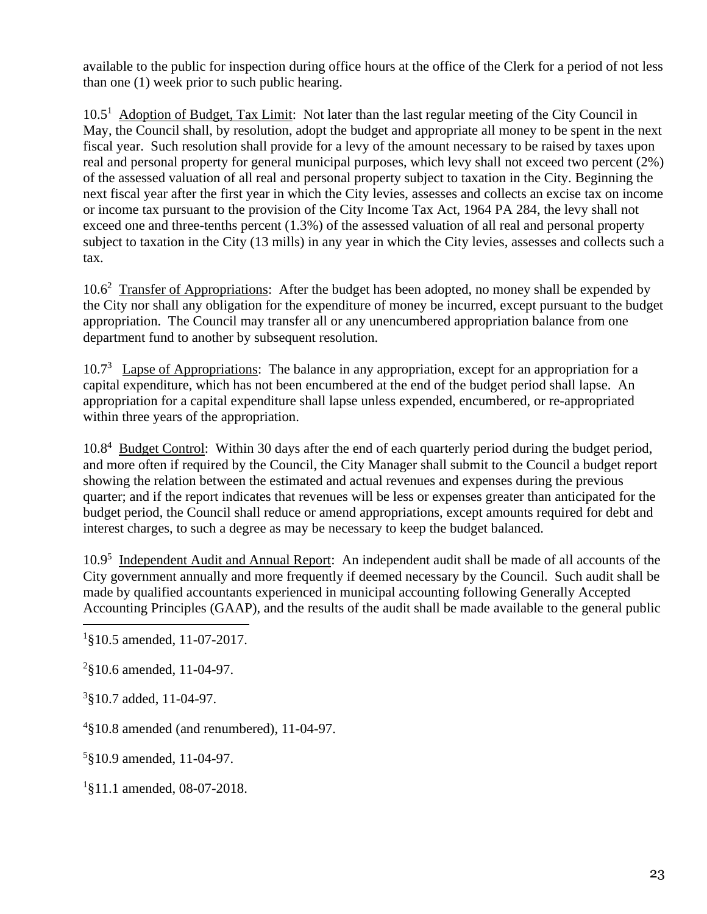available to the public for inspection during office hours at the office of the Clerk for a period of not less than one (1) week prior to such public hearing.

10.5<sup>1</sup> Adoption of Budget, Tax Limit: Not later than the last regular meeting of the City Council in May, the Council shall, by resolution, adopt the budget and appropriate all money to be spent in the next fiscal year. Such resolution shall provide for a levy of the amount necessary to be raised by taxes upon real and personal property for general municipal purposes, which levy shall not exceed two percent (2%) of the assessed valuation of all real and personal property subject to taxation in the City. Beginning the next fiscal year after the first year in which the City levies, assesses and collects an excise tax on income or income tax pursuant to the provision of the City Income Tax Act, 1964 PA 284, the levy shall not exceed one and three-tenths percent (1.3%) of the assessed valuation of all real and personal property subject to taxation in the City (13 mills) in any year in which the City levies, assesses and collects such a tax.

10.6<sup>2</sup> Transfer of Appropriations: After the budget has been adopted, no money shall be expended by the City nor shall any obligation for the expenditure of money be incurred, except pursuant to the budget appropriation. The Council may transfer all or any unencumbered appropriation balance from one department fund to another by subsequent resolution.

10.7<sup>3</sup> Lapse of Appropriations: The balance in any appropriation, except for an appropriation for a capital expenditure, which has not been encumbered at the end of the budget period shall lapse. An appropriation for a capital expenditure shall lapse unless expended, encumbered, or re-appropriated within three years of the appropriation.

10.8<sup>4</sup> Budget Control: Within 30 days after the end of each quarterly period during the budget period, and more often if required by the Council, the City Manager shall submit to the Council a budget report showing the relation between the estimated and actual revenues and expenses during the previous quarter; and if the report indicates that revenues will be less or expenses greater than anticipated for the budget period, the Council shall reduce or amend appropriations, except amounts required for debt and interest charges, to such a degree as may be necessary to keep the budget balanced.

10.9<sup>5</sup> Independent Audit and Annual Report: An independent audit shall be made of all accounts of the City government annually and more frequently if deemed necessary by the Council. Such audit shall be made by qualified accountants experienced in municipal accounting following Generally Accepted Accounting Principles (GAAP), and the results of the audit shall be made available to the general public

 $2$ §10.6 amended, 11-04-97.

<sup>3</sup>§10.7 added, 11-04-97.

 $4§10.8$  amended (and renumbered), 11-04-97.

5 §10.9 amended, 11-04-97.

<sup>1</sup>§11.1 amended, 08-07-2018.

<sup>&</sup>lt;sup>1</sup>§10.5 amended, 11-07-2017.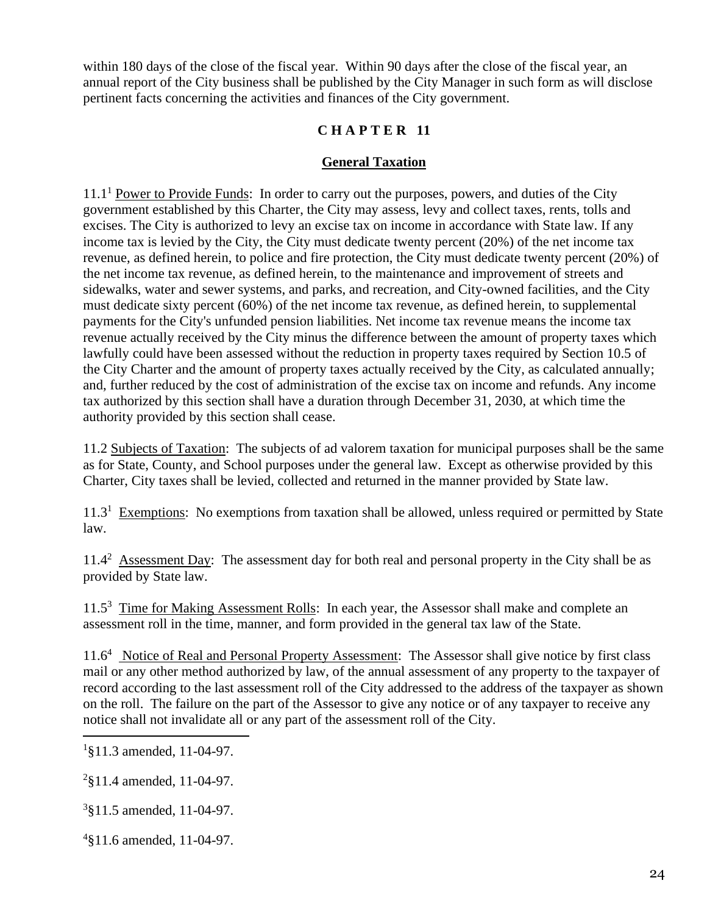within 180 days of the close of the fiscal year. Within 90 days after the close of the fiscal year, an annual report of the City business shall be published by the City Manager in such form as will disclose pertinent facts concerning the activities and finances of the City government.

## **C H A P T E R 11**

#### **General Taxation**

 $11.1<sup>1</sup>$  Power to Provide Funds: In order to carry out the purposes, powers, and duties of the City government established by this Charter, the City may assess, levy and collect taxes, rents, tolls and excises. The City is authorized to levy an excise tax on income in accordance with State law. If any income tax is levied by the City, the City must dedicate twenty percent (20%) of the net income tax revenue, as defined herein, to police and fire protection, the City must dedicate twenty percent (20%) of the net income tax revenue, as defined herein, to the maintenance and improvement of streets and sidewalks, water and sewer systems, and parks, and recreation, and City-owned facilities, and the City must dedicate sixty percent (60%) of the net income tax revenue, as defined herein, to supplemental payments for the City's unfunded pension liabilities. Net income tax revenue means the income tax revenue actually received by the City minus the difference between the amount of property taxes which lawfully could have been assessed without the reduction in property taxes required by Section 10.5 of the City Charter and the amount of property taxes actually received by the City, as calculated annually; and, further reduced by the cost of administration of the excise tax on income and refunds. Any income tax authorized by this section shall have a duration through December 31, 2030, at which time the authority provided by this section shall cease.

11.2 Subjects of Taxation: The subjects of ad valorem taxation for municipal purposes shall be the same as for State, County, and School purposes under the general law. Except as otherwise provided by this Charter, City taxes shall be levied, collected and returned in the manner provided by State law.

11.3<sup>1</sup> Exemptions: No exemptions from taxation shall be allowed, unless required or permitted by State law.

11.4<sup>2</sup> Assessment Day: The assessment day for both real and personal property in the City shall be as provided by State law.

11.5<sup>3</sup> Time for Making Assessment Rolls: In each year, the Assessor shall make and complete an assessment roll in the time, manner, and form provided in the general tax law of the State.

11.6<sup>4</sup> Notice of Real and Personal Property Assessment: The Assessor shall give notice by first class mail or any other method authorized by law, of the annual assessment of any property to the taxpayer of record according to the last assessment roll of the City addressed to the address of the taxpayer as shown on the roll. The failure on the part of the Assessor to give any notice or of any taxpayer to receive any notice shall not invalidate all or any part of the assessment roll of the City.

4 §11.6 amended, 11-04-97.

<sup>1</sup> §11.3 amended, 11-04-97.

<sup>&</sup>lt;sup>2</sup>§11.4 amended, 11-04-97.

<sup>3</sup> §11.5 amended, 11-04-97.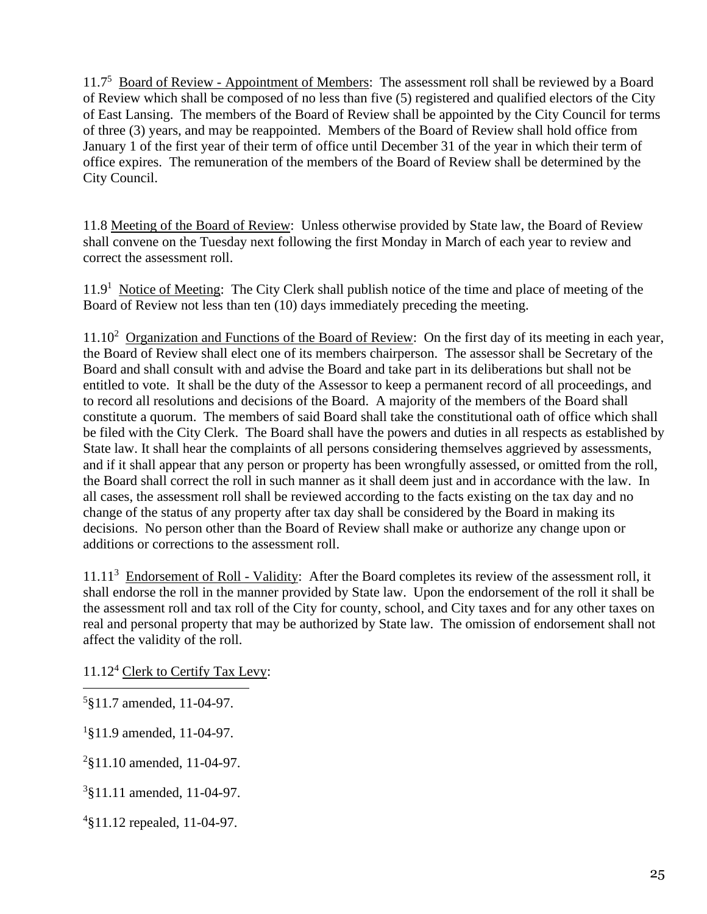11.7<sup>5</sup> Board of Review - Appointment of Members: The assessment roll shall be reviewed by a Board of Review which shall be composed of no less than five (5) registered and qualified electors of the City of East Lansing. The members of the Board of Review shall be appointed by the City Council for terms of three (3) years, and may be reappointed. Members of the Board of Review shall hold office from January 1 of the first year of their term of office until December 31 of the year in which their term of office expires. The remuneration of the members of the Board of Review shall be determined by the City Council.

11.8 Meeting of the Board of Review: Unless otherwise provided by State law, the Board of Review shall convene on the Tuesday next following the first Monday in March of each year to review and correct the assessment roll.

11.9<sup>1</sup> Notice of Meeting: The City Clerk shall publish notice of the time and place of meeting of the Board of Review not less than ten (10) days immediately preceding the meeting.

11.10<sup>2</sup> Organization and Functions of the Board of Review: On the first day of its meeting in each year, the Board of Review shall elect one of its members chairperson. The assessor shall be Secretary of the Board and shall consult with and advise the Board and take part in its deliberations but shall not be entitled to vote. It shall be the duty of the Assessor to keep a permanent record of all proceedings, and to record all resolutions and decisions of the Board. A majority of the members of the Board shall constitute a quorum. The members of said Board shall take the constitutional oath of office which shall be filed with the City Clerk. The Board shall have the powers and duties in all respects as established by State law. It shall hear the complaints of all persons considering themselves aggrieved by assessments, and if it shall appear that any person or property has been wrongfully assessed, or omitted from the roll, the Board shall correct the roll in such manner as it shall deem just and in accordance with the law. In all cases, the assessment roll shall be reviewed according to the facts existing on the tax day and no change of the status of any property after tax day shall be considered by the Board in making its decisions. No person other than the Board of Review shall make or authorize any change upon or additions or corrections to the assessment roll.

11.11<sup>3</sup> Endorsement of Roll - Validity: After the Board completes its review of the assessment roll, it shall endorse the roll in the manner provided by State law. Upon the endorsement of the roll it shall be the assessment roll and tax roll of the City for county, school, and City taxes and for any other taxes on real and personal property that may be authorized by State law. The omission of endorsement shall not affect the validity of the roll.

11.12<sup>4</sup> Clerk to Certify Tax Levy:

5 §11.7 amended, 11-04-97.

<sup>1</sup>§11.9 amended, 11-04-97.

2 §11.10 amended, 11-04-97.

3 §11.11 amended, 11-04-97.

4 §11.12 repealed, 11-04-97.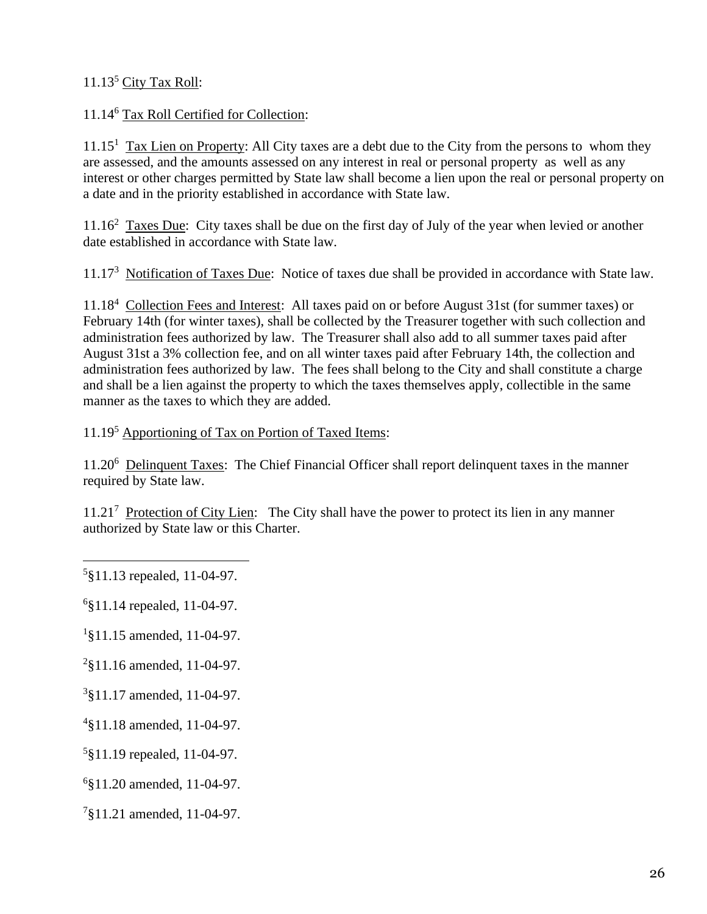# 11.13<sup>5</sup> City Tax Roll:

## 11.14<sup>6</sup> Tax Roll Certified for Collection:

11.15<sup>1</sup> Tax Lien on Property: All City taxes are a debt due to the City from the persons to whom they are assessed, and the amounts assessed on any interest in real or personal property as well as any interest or other charges permitted by State law shall become a lien upon the real or personal property on a date and in the priority established in accordance with State law.

11.16<sup>2</sup> Taxes Due: City taxes shall be due on the first day of July of the year when levied or another date established in accordance with State law.

11.17<sup>3</sup> Notification of Taxes Due: Notice of taxes due shall be provided in accordance with State law.

11.18<sup>4</sup> Collection Fees and Interest: All taxes paid on or before August 31st (for summer taxes) or February 14th (for winter taxes), shall be collected by the Treasurer together with such collection and administration fees authorized by law. The Treasurer shall also add to all summer taxes paid after August 31st a 3% collection fee, and on all winter taxes paid after February 14th, the collection and administration fees authorized by law. The fees shall belong to the City and shall constitute a charge and shall be a lien against the property to which the taxes themselves apply, collectible in the same manner as the taxes to which they are added.

#### 11.19<sup>5</sup> Apportioning of Tax on Portion of Taxed Items:

11.20<sup>6</sup> Delinquent Taxes: The Chief Financial Officer shall report delinquent taxes in the manner required by State law.

11.21<sup>7</sup> Protection of City Lien: The City shall have the power to protect its lien in any manner authorized by State law or this Charter.

- <sup>2</sup>§11.16 amended, 11-04-97.
- 3 §11.17 amended, 11-04-97.
- 4 §11.18 amended, 11-04-97.
- 5 §11.19 repealed, 11-04-97.
- 6 §11.20 amended, 11-04-97.
- 7 §11.21 amended, 11-04-97.

<sup>5</sup> §11.13 repealed, 11-04-97.

<sup>6</sup> §11.14 repealed, 11-04-97.

<sup>1</sup> §11.15 amended, 11-04-97.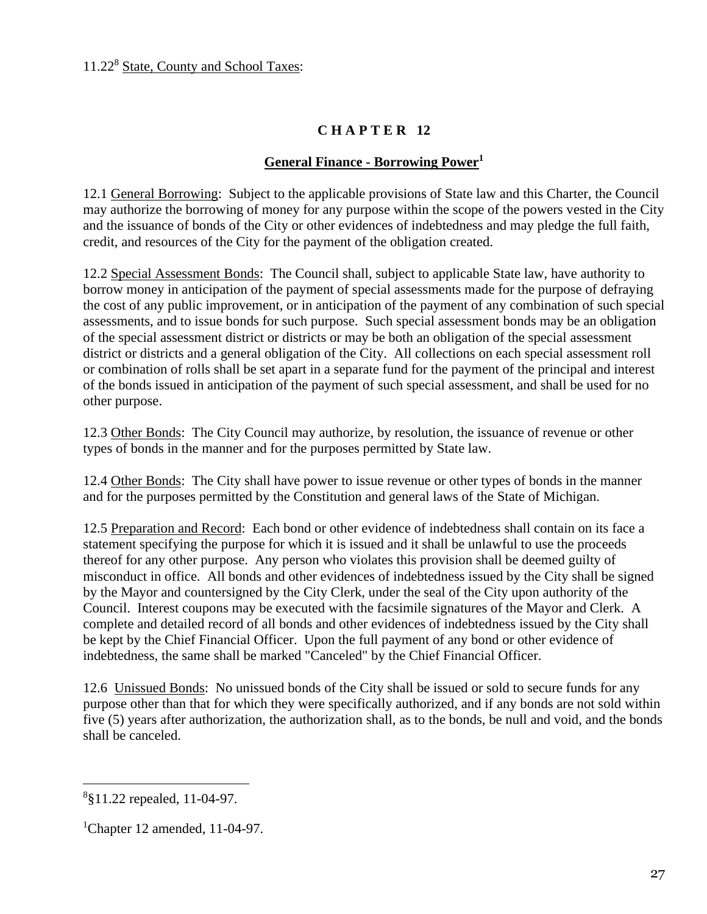## **General Finance - Borrowing Power<sup>1</sup>**

12.1 General Borrowing: Subject to the applicable provisions of State law and this Charter, the Council may authorize the borrowing of money for any purpose within the scope of the powers vested in the City and the issuance of bonds of the City or other evidences of indebtedness and may pledge the full faith, credit, and resources of the City for the payment of the obligation created.

12.2 Special Assessment Bonds: The Council shall, subject to applicable State law, have authority to borrow money in anticipation of the payment of special assessments made for the purpose of defraying the cost of any public improvement, or in anticipation of the payment of any combination of such special assessments, and to issue bonds for such purpose. Such special assessment bonds may be an obligation of the special assessment district or districts or may be both an obligation of the special assessment district or districts and a general obligation of the City. All collections on each special assessment roll or combination of rolls shall be set apart in a separate fund for the payment of the principal and interest of the bonds issued in anticipation of the payment of such special assessment, and shall be used for no other purpose.

12.3 Other Bonds: The City Council may authorize, by resolution, the issuance of revenue or other types of bonds in the manner and for the purposes permitted by State law.

12.4 Other Bonds: The City shall have power to issue revenue or other types of bonds in the manner and for the purposes permitted by the Constitution and general laws of the State of Michigan.

12.5 Preparation and Record: Each bond or other evidence of indebtedness shall contain on its face a statement specifying the purpose for which it is issued and it shall be unlawful to use the proceeds thereof for any other purpose. Any person who violates this provision shall be deemed guilty of misconduct in office. All bonds and other evidences of indebtedness issued by the City shall be signed by the Mayor and countersigned by the City Clerk, under the seal of the City upon authority of the Council. Interest coupons may be executed with the facsimile signatures of the Mayor and Clerk. A complete and detailed record of all bonds and other evidences of indebtedness issued by the City shall be kept by the Chief Financial Officer. Upon the full payment of any bond or other evidence of indebtedness, the same shall be marked "Canceled" by the Chief Financial Officer.

12.6 Unissued Bonds: No unissued bonds of the City shall be issued or sold to secure funds for any purpose other than that for which they were specifically authorized, and if any bonds are not sold within five (5) years after authorization, the authorization shall, as to the bonds, be null and void, and the bonds shall be canceled.

<sup>8</sup> §11.22 repealed, 11-04-97.

<sup>&</sup>lt;sup>1</sup>Chapter 12 amended, 11-04-97.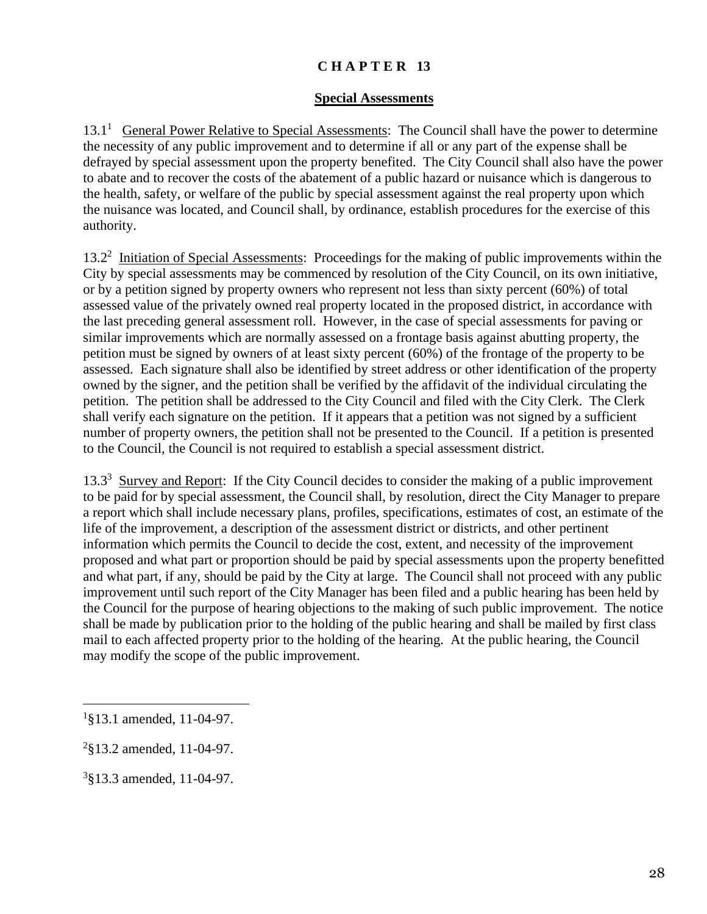#### **Special Assessments**

13.1<sup>1</sup> General Power Relative to Special Assessments: The Council shall have the power to determine the necessity of any public improvement and to determine if all or any part of the expense shall be defrayed by special assessment upon the property benefited. The City Council shall also have the power to abate and to recover the costs of the abatement of a public hazard or nuisance which is dangerous to the health, safety, or welfare of the public by special assessment against the real property upon which the nuisance was located, and Council shall, by ordinance, establish procedures for the exercise of this authority.

13.2<sup>2</sup> Initiation of Special Assessments: Proceedings for the making of public improvements within the City by special assessments may be commenced by resolution of the City Council, on its own initiative, or by a petition signed by property owners who represent not less than sixty percent (60%) of total assessed value of the privately owned real property located in the proposed district, in accordance with the last preceding general assessment roll. However, in the case of special assessments for paving or similar improvements which are normally assessed on a frontage basis against abutting property, the petition must be signed by owners of at least sixty percent (60%) of the frontage of the property to be assessed. Each signature shall also be identified by street address or other identification of the property owned by the signer, and the petition shall be verified by the affidavit of the individual circulating the petition. The petition shall be addressed to the City Council and filed with the City Clerk. The Clerk shall verify each signature on the petition. If it appears that a petition was not signed by a sufficient number of property owners, the petition shall not be presented to the Council. If a petition is presented to the Council, the Council is not required to establish a special assessment district.

13.3<sup>3</sup> Survey and Report: If the City Council decides to consider the making of a public improvement to be paid for by special assessment, the Council shall, by resolution, direct the City Manager to prepare a report which shall include necessary plans, profiles, specifications, estimates of cost, an estimate of the life of the improvement, a description of the assessment district or districts, and other pertinent information which permits the Council to decide the cost, extent, and necessity of the improvement proposed and what part or proportion should be paid by special assessments upon the property benefitted and what part, if any, should be paid by the City at large. The Council shall not proceed with any public improvement until such report of the City Manager has been filed and a public hearing has been held by the Council for the purpose of hearing objections to the making of such public improvement. The notice shall be made by publication prior to the holding of the public hearing and shall be mailed by first class mail to each affected property prior to the holding of the hearing. At the public hearing, the Council may modify the scope of the public improvement.

<sup>&</sup>lt;sup>1</sup>§13.1 amended, 11-04-97.

<sup>&</sup>lt;sup>2</sup>§13.2 amended, 11-04-97.

<sup>3</sup> §13.3 amended, 11-04-97.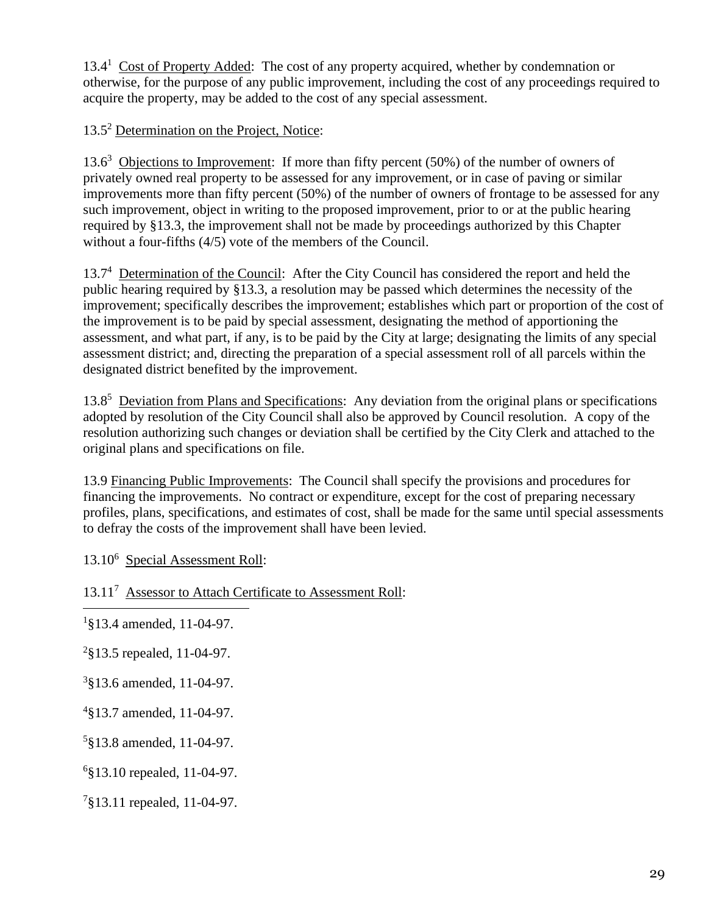13.4<sup>1</sup> Cost of Property Added: The cost of any property acquired, whether by condemnation or otherwise, for the purpose of any public improvement, including the cost of any proceedings required to acquire the property, may be added to the cost of any special assessment.

13.5<sup>2</sup> Determination on the Project, Notice:

13.6<sup>3</sup> Objections to Improvement: If more than fifty percent (50%) of the number of owners of privately owned real property to be assessed for any improvement, or in case of paving or similar improvements more than fifty percent (50%) of the number of owners of frontage to be assessed for any such improvement, object in writing to the proposed improvement, prior to or at the public hearing required by §13.3, the improvement shall not be made by proceedings authorized by this Chapter without a four-fifths (4/5) vote of the members of the Council.

13.7<sup>4</sup> Determination of the Council: After the City Council has considered the report and held the public hearing required by §13.3, a resolution may be passed which determines the necessity of the improvement; specifically describes the improvement; establishes which part or proportion of the cost of the improvement is to be paid by special assessment, designating the method of apportioning the assessment, and what part, if any, is to be paid by the City at large; designating the limits of any special assessment district; and, directing the preparation of a special assessment roll of all parcels within the designated district benefited by the improvement.

13.8<sup>5</sup> Deviation from Plans and Specifications: Any deviation from the original plans or specifications adopted by resolution of the City Council shall also be approved by Council resolution. A copy of the resolution authorizing such changes or deviation shall be certified by the City Clerk and attached to the original plans and specifications on file.

13.9 Financing Public Improvements: The Council shall specify the provisions and procedures for financing the improvements. No contract or expenditure, except for the cost of preparing necessary profiles, plans, specifications, and estimates of cost, shall be made for the same until special assessments to defray the costs of the improvement shall have been levied.

13.10<sup>6</sup> Special Assessment Roll:

13.11<sup>7</sup> Assessor to Attach Certificate to Assessment Roll:

<sup>1</sup>§13.4 amended, 11-04-97.

 $2$ §13.5 repealed, 11-04-97.

3 §13.6 amended, 11-04-97.

4 §13.7 amended, 11-04-97.

5 §13.8 amended, 11-04-97.

6 §13.10 repealed, 11-04-97.

7 §13.11 repealed, 11-04-97.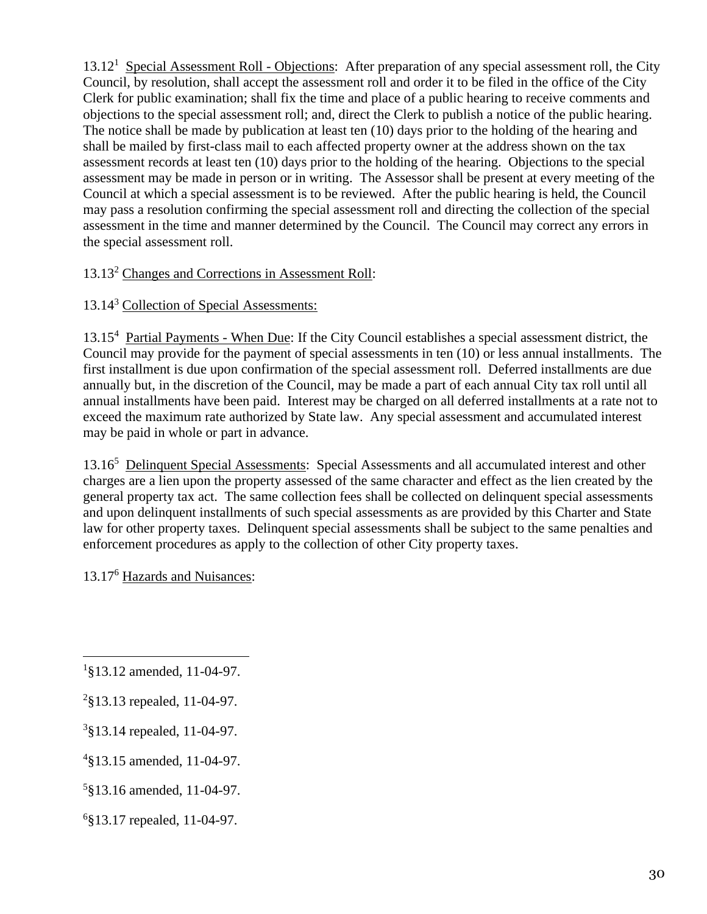13.12<sup>1</sup> Special Assessment Roll - Objections: After preparation of any special assessment roll, the City Council, by resolution, shall accept the assessment roll and order it to be filed in the office of the City Clerk for public examination; shall fix the time and place of a public hearing to receive comments and objections to the special assessment roll; and, direct the Clerk to publish a notice of the public hearing. The notice shall be made by publication at least ten (10) days prior to the holding of the hearing and shall be mailed by first-class mail to each affected property owner at the address shown on the tax assessment records at least ten (10) days prior to the holding of the hearing. Objections to the special assessment may be made in person or in writing. The Assessor shall be present at every meeting of the Council at which a special assessment is to be reviewed. After the public hearing is held, the Council may pass a resolution confirming the special assessment roll and directing the collection of the special assessment in the time and manner determined by the Council. The Council may correct any errors in the special assessment roll.

# 13.13<sup>2</sup> Changes and Corrections in Assessment Roll:

## 13.14<sup>3</sup> Collection of Special Assessments:

13.15<sup>4</sup> Partial Payments - When Due: If the City Council establishes a special assessment district, the Council may provide for the payment of special assessments in ten (10) or less annual installments. The first installment is due upon confirmation of the special assessment roll. Deferred installments are due annually but, in the discretion of the Council, may be made a part of each annual City tax roll until all annual installments have been paid. Interest may be charged on all deferred installments at a rate not to exceed the maximum rate authorized by State law. Any special assessment and accumulated interest may be paid in whole or part in advance.

13.16<sup>5</sup> Delinquent Special Assessments: Special Assessments and all accumulated interest and other charges are a lien upon the property assessed of the same character and effect as the lien created by the general property tax act. The same collection fees shall be collected on delinquent special assessments and upon delinquent installments of such special assessments as are provided by this Charter and State law for other property taxes. Delinquent special assessments shall be subject to the same penalties and enforcement procedures as apply to the collection of other City property taxes.

13.17<sup>6</sup> Hazards and Nuisances:

<sup>1</sup> §13.12 amended, 11-04-97.

<sup>&</sup>lt;sup>2</sup>§13.13 repealed, 11-04-97.

<sup>3</sup> §13.14 repealed, 11-04-97.

<sup>4</sup> §13.15 amended, 11-04-97.

<sup>5</sup> §13.16 amended, 11-04-97.

<sup>6</sup> §13.17 repealed, 11-04-97.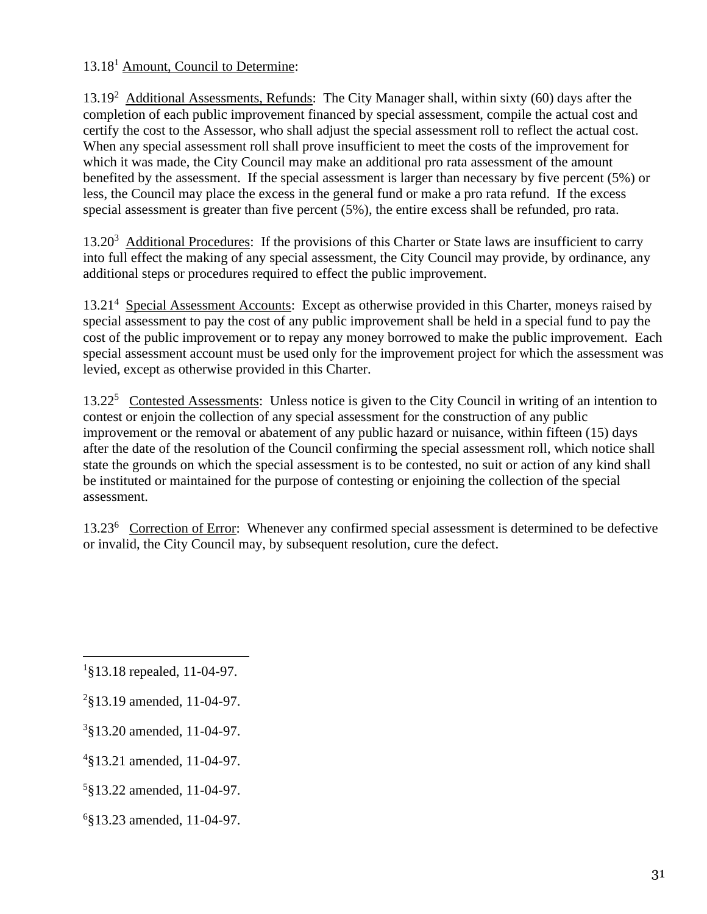# 13.18<sup>1</sup> Amount, Council to Determine:

13.19<sup>2</sup> Additional Assessments, Refunds: The City Manager shall, within sixty (60) days after the completion of each public improvement financed by special assessment, compile the actual cost and certify the cost to the Assessor, who shall adjust the special assessment roll to reflect the actual cost. When any special assessment roll shall prove insufficient to meet the costs of the improvement for which it was made, the City Council may make an additional pro rata assessment of the amount benefited by the assessment. If the special assessment is larger than necessary by five percent (5%) or less, the Council may place the excess in the general fund or make a pro rata refund. If the excess special assessment is greater than five percent (5%), the entire excess shall be refunded, pro rata.

13.20<sup>3</sup> Additional Procedures: If the provisions of this Charter or State laws are insufficient to carry into full effect the making of any special assessment, the City Council may provide, by ordinance, any additional steps or procedures required to effect the public improvement.

13.21<sup>4</sup> Special Assessment Accounts: Except as otherwise provided in this Charter, moneys raised by special assessment to pay the cost of any public improvement shall be held in a special fund to pay the cost of the public improvement or to repay any money borrowed to make the public improvement. Each special assessment account must be used only for the improvement project for which the assessment was levied, except as otherwise provided in this Charter.

13.22<sup>5</sup> Contested Assessments: Unless notice is given to the City Council in writing of an intention to contest or enjoin the collection of any special assessment for the construction of any public improvement or the removal or abatement of any public hazard or nuisance, within fifteen (15) days after the date of the resolution of the Council confirming the special assessment roll, which notice shall state the grounds on which the special assessment is to be contested, no suit or action of any kind shall be instituted or maintained for the purpose of contesting or enjoining the collection of the special assessment.

13.23<sup>6</sup> Correction of Error: Whenever any confirmed special assessment is determined to be defective or invalid, the City Council may, by subsequent resolution, cure the defect.

<sup>1</sup> §13.18 repealed, 11-04-97.

<sup>&</sup>lt;sup>2</sup>§13.19 amended, 11-04-97.

<sup>3</sup> §13.20 amended, 11-04-97.

<sup>4</sup> §13.21 amended, 11-04-97.

<sup>5</sup> §13.22 amended, 11-04-97.

<sup>6</sup> §13.23 amended, 11-04-97.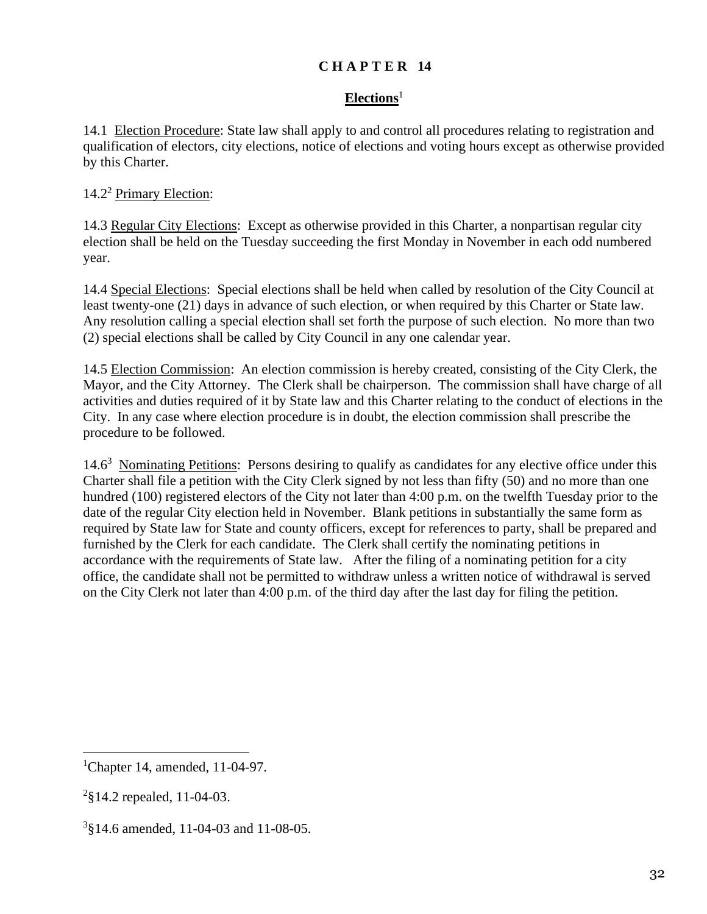## **Elections**<sup>1</sup>

14.1 Election Procedure: State law shall apply to and control all procedures relating to registration and qualification of electors, city elections, notice of elections and voting hours except as otherwise provided by this Charter.

# 14.2<sup>2</sup> Primary Election:

14.3 Regular City Elections: Except as otherwise provided in this Charter, a nonpartisan regular city election shall be held on the Tuesday succeeding the first Monday in November in each odd numbered year.

14.4 Special Elections: Special elections shall be held when called by resolution of the City Council at least twenty-one (21) days in advance of such election, or when required by this Charter or State law. Any resolution calling a special election shall set forth the purpose of such election. No more than two (2) special elections shall be called by City Council in any one calendar year.

14.5 Election Commission: An election commission is hereby created, consisting of the City Clerk, the Mayor, and the City Attorney. The Clerk shall be chairperson. The commission shall have charge of all activities and duties required of it by State law and this Charter relating to the conduct of elections in the City. In any case where election procedure is in doubt, the election commission shall prescribe the procedure to be followed.

14.6<sup>3</sup> Nominating Petitions: Persons desiring to qualify as candidates for any elective office under this Charter shall file a petition with the City Clerk signed by not less than fifty (50) and no more than one hundred (100) registered electors of the City not later than 4:00 p.m. on the twelfth Tuesday prior to the date of the regular City election held in November. Blank petitions in substantially the same form as required by State law for State and county officers, except for references to party, shall be prepared and furnished by the Clerk for each candidate. The Clerk shall certify the nominating petitions in accordance with the requirements of State law. After the filing of a nominating petition for a city office, the candidate shall not be permitted to withdraw unless a written notice of withdrawal is served on the City Clerk not later than 4:00 p.m. of the third day after the last day for filing the petition.

<sup>&</sup>lt;sup>1</sup>Chapter 14, amended, 11-04-97.

<sup>&</sup>lt;sup>2</sup>§14.2 repealed, 11-04-03.

<sup>3</sup> §14.6 amended, 11-04-03 and 11-08-05.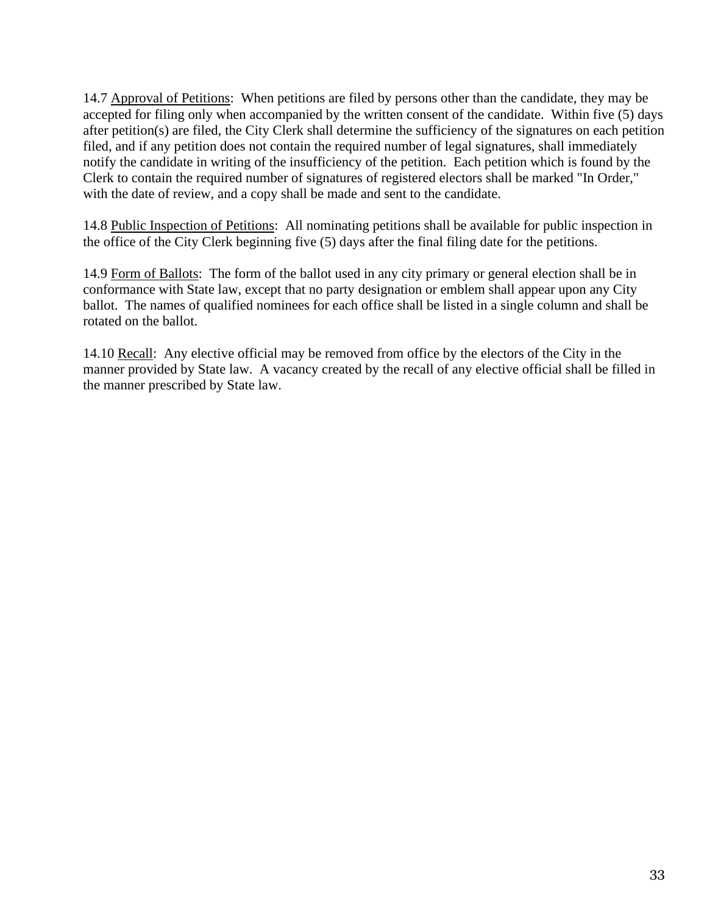14.7 Approval of Petitions: When petitions are filed by persons other than the candidate, they may be accepted for filing only when accompanied by the written consent of the candidate. Within five (5) days after petition(s) are filed, the City Clerk shall determine the sufficiency of the signatures on each petition filed, and if any petition does not contain the required number of legal signatures, shall immediately notify the candidate in writing of the insufficiency of the petition. Each petition which is found by the Clerk to contain the required number of signatures of registered electors shall be marked "In Order," with the date of review, and a copy shall be made and sent to the candidate.

14.8 Public Inspection of Petitions: All nominating petitions shall be available for public inspection in the office of the City Clerk beginning five (5) days after the final filing date for the petitions.

14.9 Form of Ballots: The form of the ballot used in any city primary or general election shall be in conformance with State law, except that no party designation or emblem shall appear upon any City ballot. The names of qualified nominees for each office shall be listed in a single column and shall be rotated on the ballot.

14.10 Recall: Any elective official may be removed from office by the electors of the City in the manner provided by State law. A vacancy created by the recall of any elective official shall be filled in the manner prescribed by State law.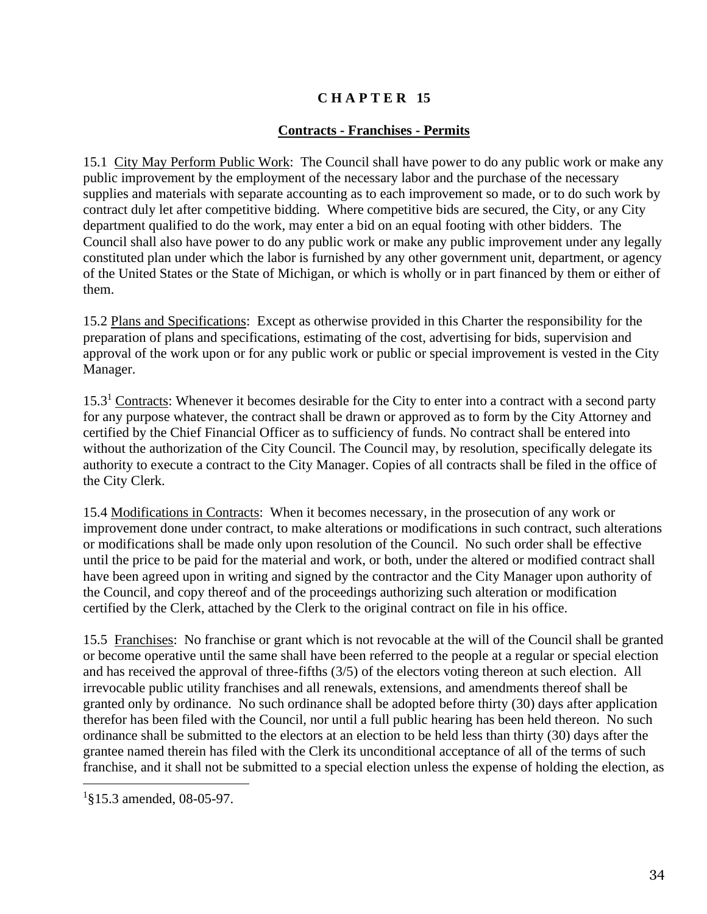## **Contracts - Franchises - Permits**

15.1 City May Perform Public Work: The Council shall have power to do any public work or make any public improvement by the employment of the necessary labor and the purchase of the necessary supplies and materials with separate accounting as to each improvement so made, or to do such work by contract duly let after competitive bidding. Where competitive bids are secured, the City, or any City department qualified to do the work, may enter a bid on an equal footing with other bidders. The Council shall also have power to do any public work or make any public improvement under any legally constituted plan under which the labor is furnished by any other government unit, department, or agency of the United States or the State of Michigan, or which is wholly or in part financed by them or either of them.

15.2 Plans and Specifications: Except as otherwise provided in this Charter the responsibility for the preparation of plans and specifications, estimating of the cost, advertising for bids, supervision and approval of the work upon or for any public work or public or special improvement is vested in the City Manager.

15.3<sup>1</sup> Contracts: Whenever it becomes desirable for the City to enter into a contract with a second party for any purpose whatever, the contract shall be drawn or approved as to form by the City Attorney and certified by the Chief Financial Officer as to sufficiency of funds. No contract shall be entered into without the authorization of the City Council. The Council may, by resolution, specifically delegate its authority to execute a contract to the City Manager. Copies of all contracts shall be filed in the office of the City Clerk.

15.4 Modifications in Contracts: When it becomes necessary, in the prosecution of any work or improvement done under contract, to make alterations or modifications in such contract, such alterations or modifications shall be made only upon resolution of the Council. No such order shall be effective until the price to be paid for the material and work, or both, under the altered or modified contract shall have been agreed upon in writing and signed by the contractor and the City Manager upon authority of the Council, and copy thereof and of the proceedings authorizing such alteration or modification certified by the Clerk, attached by the Clerk to the original contract on file in his office.

15.5 Franchises: No franchise or grant which is not revocable at the will of the Council shall be granted or become operative until the same shall have been referred to the people at a regular or special election and has received the approval of three-fifths (3/5) of the electors voting thereon at such election. All irrevocable public utility franchises and all renewals, extensions, and amendments thereof shall be granted only by ordinance. No such ordinance shall be adopted before thirty (30) days after application therefor has been filed with the Council, nor until a full public hearing has been held thereon. No such ordinance shall be submitted to the electors at an election to be held less than thirty (30) days after the grantee named therein has filed with the Clerk its unconditional acceptance of all of the terms of such franchise, and it shall not be submitted to a special election unless the expense of holding the election, as

<sup>&</sup>lt;sup>1</sup>§15.3 amended, 08-05-97.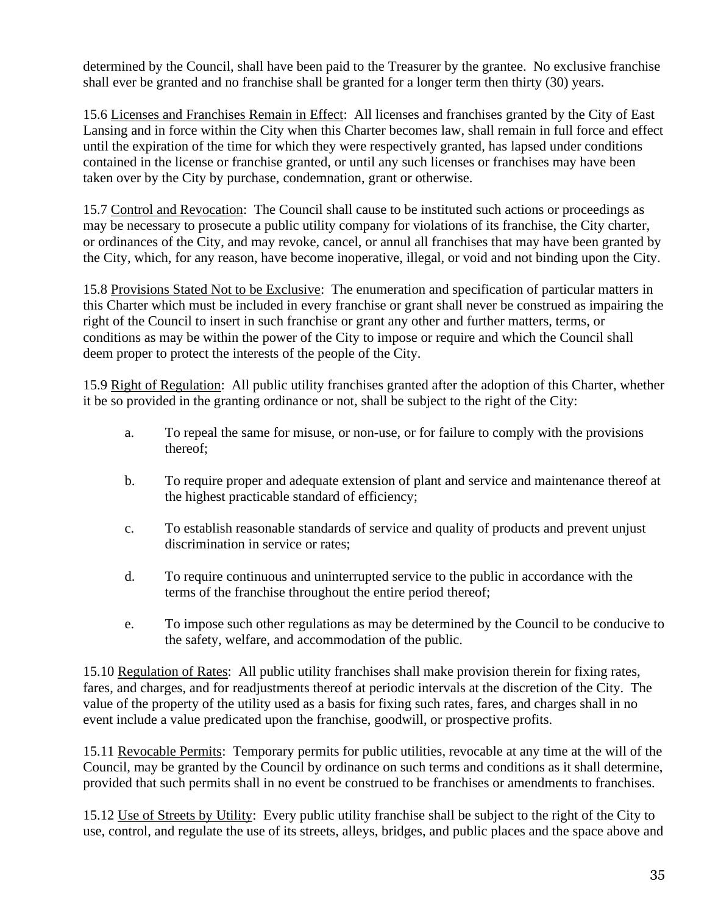determined by the Council, shall have been paid to the Treasurer by the grantee. No exclusive franchise shall ever be granted and no franchise shall be granted for a longer term then thirty (30) years.

15.6 Licenses and Franchises Remain in Effect: All licenses and franchises granted by the City of East Lansing and in force within the City when this Charter becomes law, shall remain in full force and effect until the expiration of the time for which they were respectively granted, has lapsed under conditions contained in the license or franchise granted, or until any such licenses or franchises may have been taken over by the City by purchase, condemnation, grant or otherwise.

15.7 Control and Revocation: The Council shall cause to be instituted such actions or proceedings as may be necessary to prosecute a public utility company for violations of its franchise, the City charter, or ordinances of the City, and may revoke, cancel, or annul all franchises that may have been granted by the City, which, for any reason, have become inoperative, illegal, or void and not binding upon the City.

15.8 Provisions Stated Not to be Exclusive: The enumeration and specification of particular matters in this Charter which must be included in every franchise or grant shall never be construed as impairing the right of the Council to insert in such franchise or grant any other and further matters, terms, or conditions as may be within the power of the City to impose or require and which the Council shall deem proper to protect the interests of the people of the City.

15.9 Right of Regulation: All public utility franchises granted after the adoption of this Charter, whether it be so provided in the granting ordinance or not, shall be subject to the right of the City:

- a. To repeal the same for misuse, or non-use, or for failure to comply with the provisions thereof;
- b. To require proper and adequate extension of plant and service and maintenance thereof at the highest practicable standard of efficiency;
- c. To establish reasonable standards of service and quality of products and prevent unjust discrimination in service or rates;
- d. To require continuous and uninterrupted service to the public in accordance with the terms of the franchise throughout the entire period thereof;
- e. To impose such other regulations as may be determined by the Council to be conducive to the safety, welfare, and accommodation of the public.

15.10 Regulation of Rates: All public utility franchises shall make provision therein for fixing rates, fares, and charges, and for readjustments thereof at periodic intervals at the discretion of the City. The value of the property of the utility used as a basis for fixing such rates, fares, and charges shall in no event include a value predicated upon the franchise, goodwill, or prospective profits.

15.11 Revocable Permits: Temporary permits for public utilities, revocable at any time at the will of the Council, may be granted by the Council by ordinance on such terms and conditions as it shall determine, provided that such permits shall in no event be construed to be franchises or amendments to franchises.

15.12 Use of Streets by Utility: Every public utility franchise shall be subject to the right of the City to use, control, and regulate the use of its streets, alleys, bridges, and public places and the space above and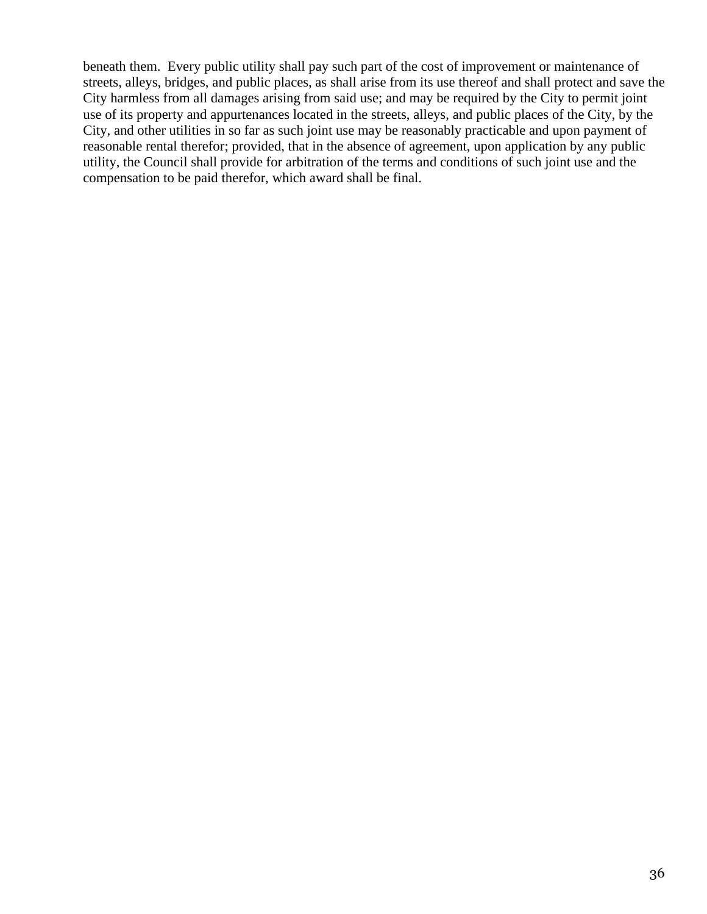beneath them. Every public utility shall pay such part of the cost of improvement or maintenance of streets, alleys, bridges, and public places, as shall arise from its use thereof and shall protect and save the City harmless from all damages arising from said use; and may be required by the City to permit joint use of its property and appurtenances located in the streets, alleys, and public places of the City, by the City, and other utilities in so far as such joint use may be reasonably practicable and upon payment of reasonable rental therefor; provided, that in the absence of agreement, upon application by any public utility, the Council shall provide for arbitration of the terms and conditions of such joint use and the compensation to be paid therefor, which award shall be final.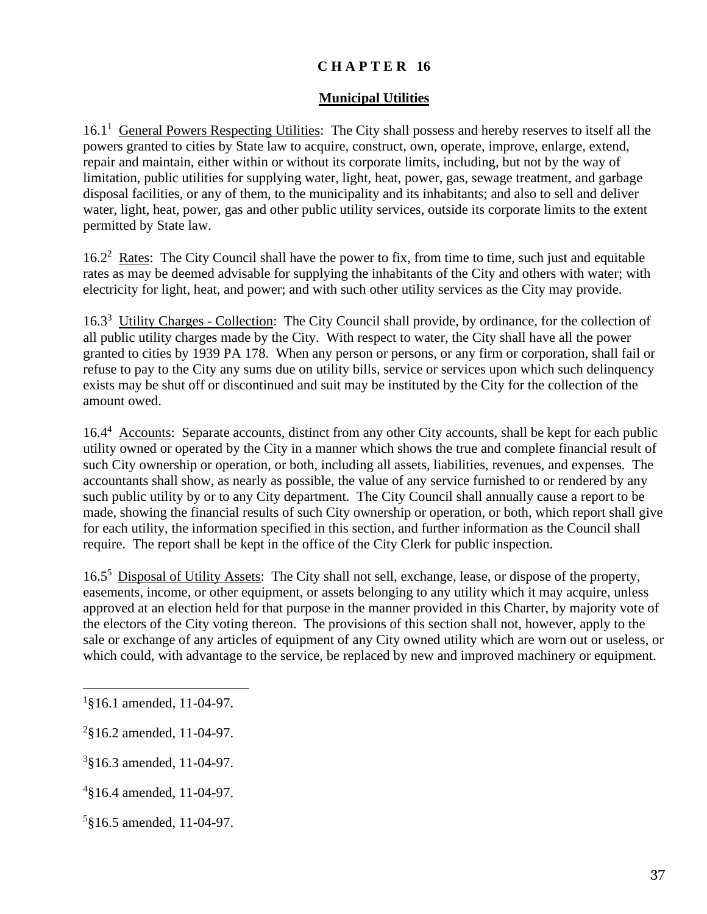#### **Municipal Utilities**

16.1<sup>1</sup> General Powers Respecting Utilities: The City shall possess and hereby reserves to itself all the powers granted to cities by State law to acquire, construct, own, operate, improve, enlarge, extend, repair and maintain, either within or without its corporate limits, including, but not by the way of limitation, public utilities for supplying water, light, heat, power, gas, sewage treatment, and garbage disposal facilities, or any of them, to the municipality and its inhabitants; and also to sell and deliver water, light, heat, power, gas and other public utility services, outside its corporate limits to the extent permitted by State law.

16.2<sup>2</sup> Rates: The City Council shall have the power to fix, from time to time, such just and equitable rates as may be deemed advisable for supplying the inhabitants of the City and others with water; with electricity for light, heat, and power; and with such other utility services as the City may provide.

16.3<sup>3</sup> Utility Charges - Collection: The City Council shall provide, by ordinance, for the collection of all public utility charges made by the City. With respect to water, the City shall have all the power granted to cities by 1939 PA 178. When any person or persons, or any firm or corporation, shall fail or refuse to pay to the City any sums due on utility bills, service or services upon which such delinquency exists may be shut off or discontinued and suit may be instituted by the City for the collection of the amount owed.

16.4<sup>4</sup> Accounts: Separate accounts, distinct from any other City accounts, shall be kept for each public utility owned or operated by the City in a manner which shows the true and complete financial result of such City ownership or operation, or both, including all assets, liabilities, revenues, and expenses. The accountants shall show, as nearly as possible, the value of any service furnished to or rendered by any such public utility by or to any City department. The City Council shall annually cause a report to be made, showing the financial results of such City ownership or operation, or both, which report shall give for each utility, the information specified in this section, and further information as the Council shall require. The report shall be kept in the office of the City Clerk for public inspection.

16.5<sup>5</sup> Disposal of Utility Assets: The City shall not sell, exchange, lease, or dispose of the property, easements, income, or other equipment, or assets belonging to any utility which it may acquire, unless approved at an election held for that purpose in the manner provided in this Charter, by majority vote of the electors of the City voting thereon. The provisions of this section shall not, however, apply to the sale or exchange of any articles of equipment of any City owned utility which are worn out or useless, or which could, with advantage to the service, be replaced by new and improved machinery or equipment.

<sup>1</sup> §16.1 amended, 11-04-97.

 $2$ §16.2 amended, 11-04-97.

<sup>3</sup> §16.3 amended, 11-04-97.

<sup>4</sup> §16.4 amended, 11-04-97.

<sup>5</sup> §16.5 amended, 11-04-97.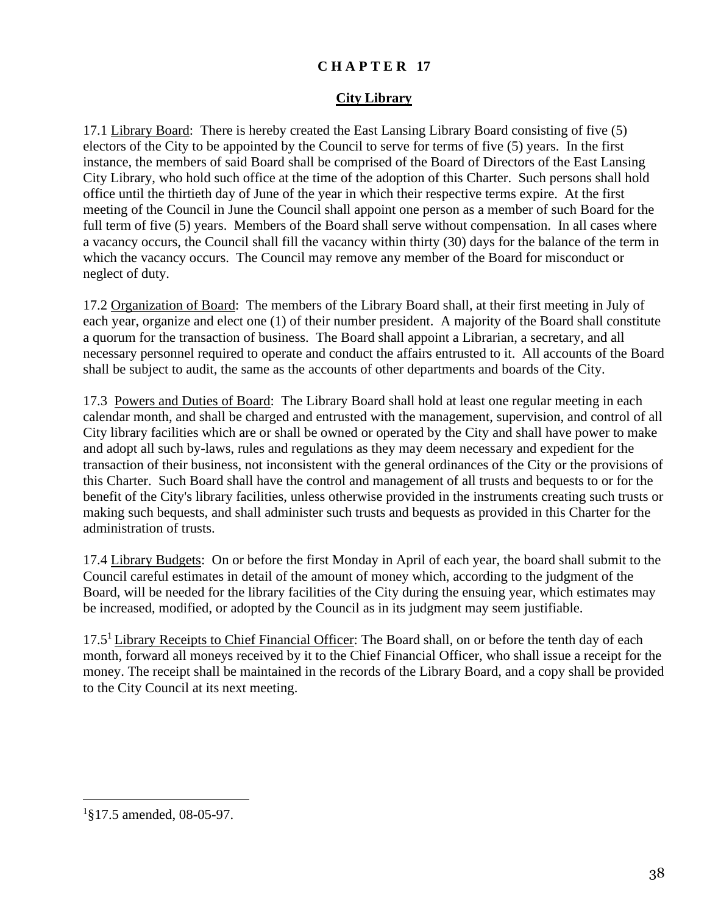#### **City Library**

17.1 Library Board: There is hereby created the East Lansing Library Board consisting of five (5) electors of the City to be appointed by the Council to serve for terms of five (5) years. In the first instance, the members of said Board shall be comprised of the Board of Directors of the East Lansing City Library, who hold such office at the time of the adoption of this Charter. Such persons shall hold office until the thirtieth day of June of the year in which their respective terms expire. At the first meeting of the Council in June the Council shall appoint one person as a member of such Board for the full term of five (5) years. Members of the Board shall serve without compensation. In all cases where a vacancy occurs, the Council shall fill the vacancy within thirty (30) days for the balance of the term in which the vacancy occurs. The Council may remove any member of the Board for misconduct or neglect of duty.

17.2 Organization of Board: The members of the Library Board shall, at their first meeting in July of each year, organize and elect one (1) of their number president. A majority of the Board shall constitute a quorum for the transaction of business. The Board shall appoint a Librarian, a secretary, and all necessary personnel required to operate and conduct the affairs entrusted to it. All accounts of the Board shall be subject to audit, the same as the accounts of other departments and boards of the City.

17.3 Powers and Duties of Board: The Library Board shall hold at least one regular meeting in each calendar month, and shall be charged and entrusted with the management, supervision, and control of all City library facilities which are or shall be owned or operated by the City and shall have power to make and adopt all such by-laws, rules and regulations as they may deem necessary and expedient for the transaction of their business, not inconsistent with the general ordinances of the City or the provisions of this Charter. Such Board shall have the control and management of all trusts and bequests to or for the benefit of the City's library facilities, unless otherwise provided in the instruments creating such trusts or making such bequests, and shall administer such trusts and bequests as provided in this Charter for the administration of trusts.

17.4 Library Budgets: On or before the first Monday in April of each year, the board shall submit to the Council careful estimates in detail of the amount of money which, according to the judgment of the Board, will be needed for the library facilities of the City during the ensuing year, which estimates may be increased, modified, or adopted by the Council as in its judgment may seem justifiable.

17.5<sup>1</sup> Library Receipts to *Chief Financial Officer*: The Board shall, on or before the tenth day of each month, forward all moneys received by it to the Chief Financial Officer, who shall issue a receipt for the money. The receipt shall be maintained in the records of the Library Board, and a copy shall be provided to the City Council at its next meeting.

<sup>1</sup> §17.5 amended, 08-05-97.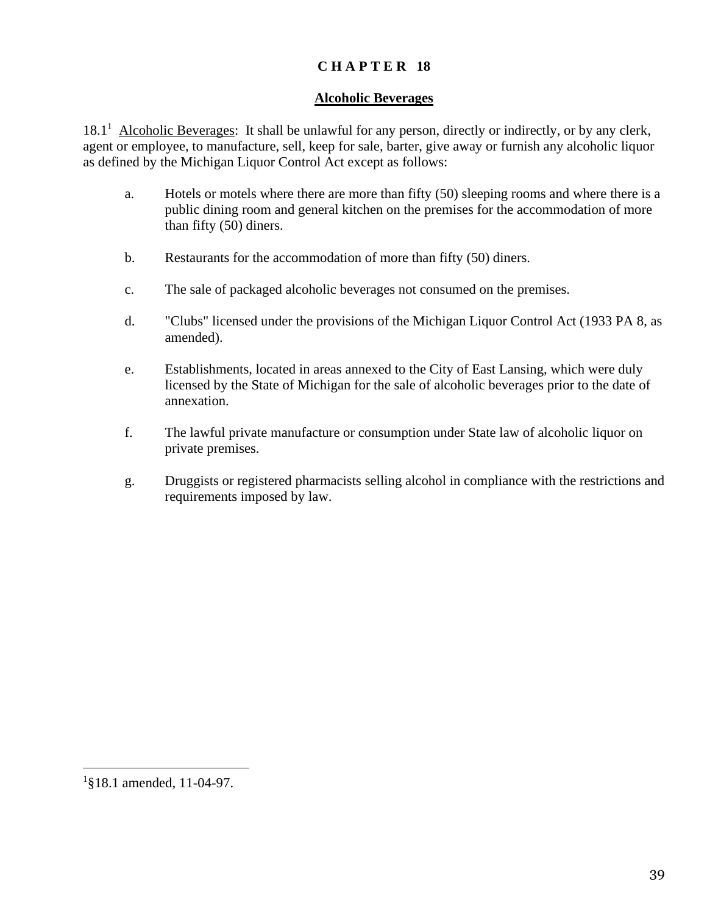#### **Alcoholic Beverages**

18.1<sup>1</sup> Alcoholic Beverages: It shall be unlawful for any person, directly or indirectly, or by any clerk, agent or employee, to manufacture, sell, keep for sale, barter, give away or furnish any alcoholic liquor as defined by the Michigan Liquor Control Act except as follows:

- a. Hotels or motels where there are more than fifty (50) sleeping rooms and where there is a public dining room and general kitchen on the premises for the accommodation of more than fifty (50) diners.
- b. Restaurants for the accommodation of more than fifty (50) diners.
- c. The sale of packaged alcoholic beverages not consumed on the premises.
- d. "Clubs" licensed under the provisions of the Michigan Liquor Control Act (1933 PA 8, as amended).
- e. Establishments, located in areas annexed to the City of East Lansing, which were duly licensed by the State of Michigan for the sale of alcoholic beverages prior to the date of annexation.
- f. The lawful private manufacture or consumption under State law of alcoholic liquor on private premises.
- g. Druggists or registered pharmacists selling alcohol in compliance with the restrictions and requirements imposed by law.

<sup>1</sup> §18.1 amended, 11-04-97.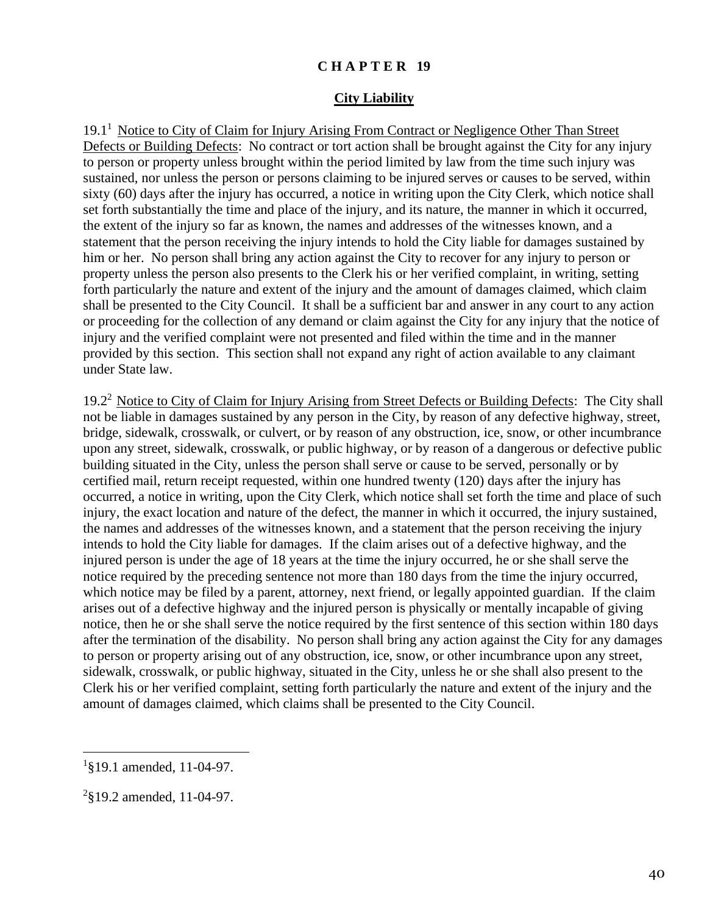#### **City Liability**

19.1<sup>1</sup> Notice to City of Claim for Injury Arising From Contract or Negligence Other Than Street Defects or Building Defects: No contract or tort action shall be brought against the City for any injury to person or property unless brought within the period limited by law from the time such injury was sustained, nor unless the person or persons claiming to be injured serves or causes to be served, within sixty (60) days after the injury has occurred, a notice in writing upon the City Clerk, which notice shall set forth substantially the time and place of the injury, and its nature, the manner in which it occurred, the extent of the injury so far as known, the names and addresses of the witnesses known, and a statement that the person receiving the injury intends to hold the City liable for damages sustained by him or her. No person shall bring any action against the City to recover for any injury to person or property unless the person also presents to the Clerk his or her verified complaint, in writing, setting forth particularly the nature and extent of the injury and the amount of damages claimed, which claim shall be presented to the City Council. It shall be a sufficient bar and answer in any court to any action or proceeding for the collection of any demand or claim against the City for any injury that the notice of injury and the verified complaint were not presented and filed within the time and in the manner provided by this section. This section shall not expand any right of action available to any claimant under State law.

19.2<sup>2</sup> Notice to City of Claim for Injury Arising from Street Defects or Building Defects: The City shall not be liable in damages sustained by any person in the City, by reason of any defective highway, street, bridge, sidewalk, crosswalk, or culvert, or by reason of any obstruction, ice, snow, or other incumbrance upon any street, sidewalk, crosswalk, or public highway, or by reason of a dangerous or defective public building situated in the City, unless the person shall serve or cause to be served, personally or by certified mail, return receipt requested, within one hundred twenty (120) days after the injury has occurred, a notice in writing, upon the City Clerk, which notice shall set forth the time and place of such injury, the exact location and nature of the defect, the manner in which it occurred, the injury sustained, the names and addresses of the witnesses known, and a statement that the person receiving the injury intends to hold the City liable for damages. If the claim arises out of a defective highway, and the injured person is under the age of 18 years at the time the injury occurred, he or she shall serve the notice required by the preceding sentence not more than 180 days from the time the injury occurred, which notice may be filed by a parent, attorney, next friend, or legally appointed guardian. If the claim arises out of a defective highway and the injured person is physically or mentally incapable of giving notice, then he or she shall serve the notice required by the first sentence of this section within 180 days after the termination of the disability. No person shall bring any action against the City for any damages to person or property arising out of any obstruction, ice, snow, or other incumbrance upon any street, sidewalk, crosswalk, or public highway, situated in the City, unless he or she shall also present to the Clerk his or her verified complaint, setting forth particularly the nature and extent of the injury and the amount of damages claimed, which claims shall be presented to the City Council.

<sup>&</sup>lt;sup>1</sup>§19.1 amended, 11-04-97.

<sup>&</sup>lt;sup>2</sup>§19.2 amended, 11-04-97.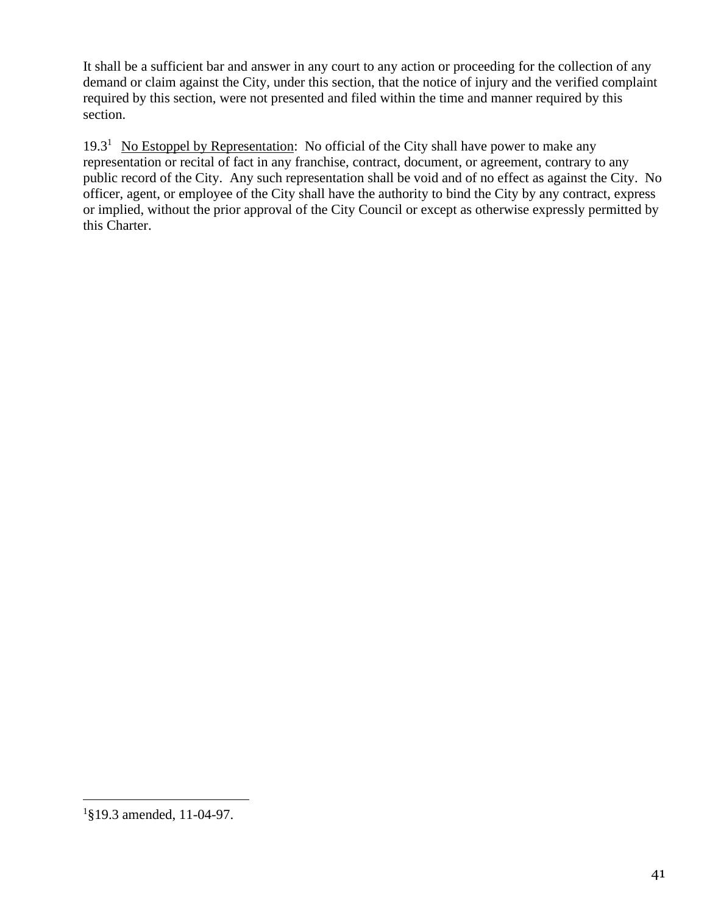It shall be a sufficient bar and answer in any court to any action or proceeding for the collection of any demand or claim against the City, under this section, that the notice of injury and the verified complaint required by this section, were not presented and filed within the time and manner required by this section.

19.3<sup>1</sup> No Estoppel by Representation: No official of the City shall have power to make any representation or recital of fact in any franchise, contract, document, or agreement, contrary to any public record of the City. Any such representation shall be void and of no effect as against the City. No officer, agent, or employee of the City shall have the authority to bind the City by any contract, express or implied, without the prior approval of the City Council or except as otherwise expressly permitted by this Charter.

<sup>1</sup> §19.3 amended, 11-04-97.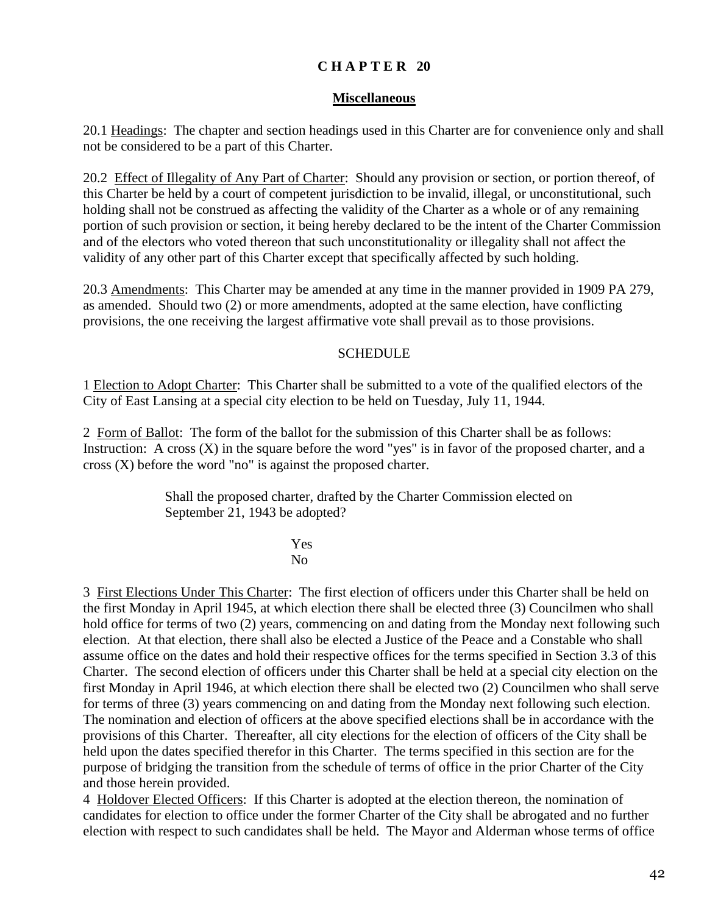#### **Miscellaneous**

20.1 Headings: The chapter and section headings used in this Charter are for convenience only and shall not be considered to be a part of this Charter.

20.2 Effect of Illegality of Any Part of Charter: Should any provision or section, or portion thereof, of this Charter be held by a court of competent jurisdiction to be invalid, illegal, or unconstitutional, such holding shall not be construed as affecting the validity of the Charter as a whole or of any remaining portion of such provision or section, it being hereby declared to be the intent of the Charter Commission and of the electors who voted thereon that such unconstitutionality or illegality shall not affect the validity of any other part of this Charter except that specifically affected by such holding.

20.3 Amendments: This Charter may be amended at any time in the manner provided in 1909 PA 279, as amended. Should two (2) or more amendments, adopted at the same election, have conflicting provisions, the one receiving the largest affirmative vote shall prevail as to those provisions.

#### **SCHEDULE**

1 Election to Adopt Charter: This Charter shall be submitted to a vote of the qualified electors of the City of East Lansing at a special city election to be held on Tuesday, July 11, 1944.

2 Form of Ballot: The form of the ballot for the submission of this Charter shall be as follows: Instruction: A cross  $(X)$  in the square before the word "yes" is in favor of the proposed charter, and a cross (X) before the word "no" is against the proposed charter.

> Shall the proposed charter, drafted by the Charter Commission elected on September 21, 1943 be adopted?

> > Yes No

3 First Elections Under This Charter: The first election of officers under this Charter shall be held on the first Monday in April 1945, at which election there shall be elected three (3) Councilmen who shall hold office for terms of two (2) years, commencing on and dating from the Monday next following such election. At that election, there shall also be elected a Justice of the Peace and a Constable who shall assume office on the dates and hold their respective offices for the terms specified in Section 3.3 of this Charter. The second election of officers under this Charter shall be held at a special city election on the first Monday in April 1946, at which election there shall be elected two (2) Councilmen who shall serve for terms of three (3) years commencing on and dating from the Monday next following such election. The nomination and election of officers at the above specified elections shall be in accordance with the provisions of this Charter. Thereafter, all city elections for the election of officers of the City shall be held upon the dates specified therefor in this Charter. The terms specified in this section are for the purpose of bridging the transition from the schedule of terms of office in the prior Charter of the City and those herein provided.

4 Holdover Elected Officers: If this Charter is adopted at the election thereon, the nomination of candidates for election to office under the former Charter of the City shall be abrogated and no further election with respect to such candidates shall be held. The Mayor and Alderman whose terms of office